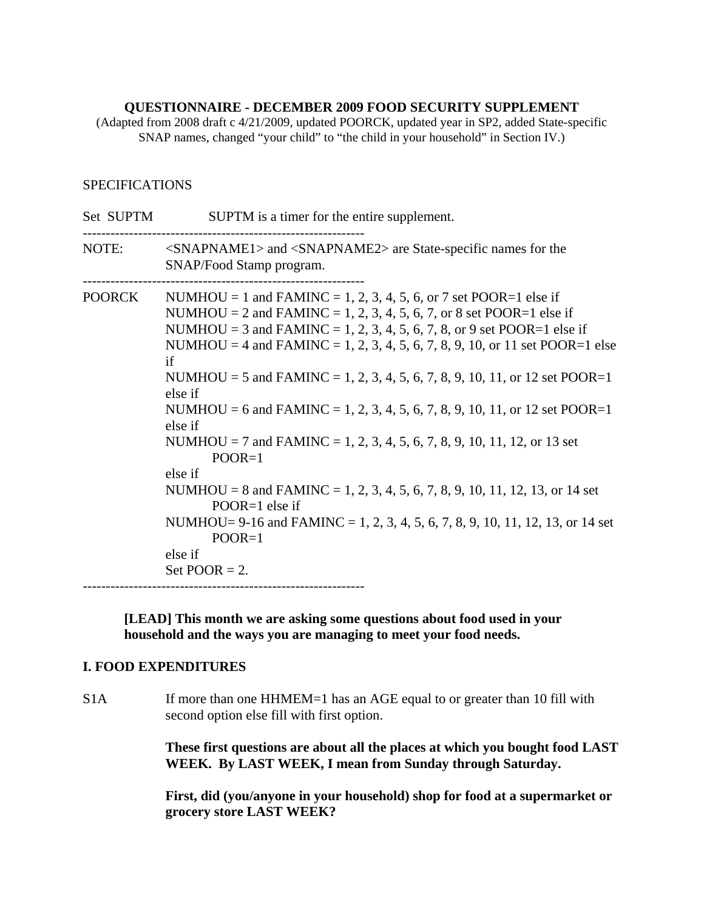## **QUESTIONNAIRE - DECEMBER 2009 FOOD SECURITY SUPPLEMENT**

(Adapted from 2008 draft c 4/21/2009, updated POORCK, updated year in SP2, added State-specific SNAP names, changed "your child" to "the child in your household" in Section IV.)

## **SPECIFICATIONS**

| Set SUPTM | SUPTM is a timer for the entire supplement.                                                                                                                                                                                                                                                                                                                                                                                                                                                                                                                                                                                                                                                                                                                                                                                      |
|-----------|----------------------------------------------------------------------------------------------------------------------------------------------------------------------------------------------------------------------------------------------------------------------------------------------------------------------------------------------------------------------------------------------------------------------------------------------------------------------------------------------------------------------------------------------------------------------------------------------------------------------------------------------------------------------------------------------------------------------------------------------------------------------------------------------------------------------------------|
| NOTE:     | $\langle$ SNAPNAME1> and $\langle$ SNAPNAME2> are State-specific names for the<br>SNAP/Food Stamp program.                                                                                                                                                                                                                                                                                                                                                                                                                                                                                                                                                                                                                                                                                                                       |
| POORCK    | NUMHOU = 1 and FAMINC = 1, 2, 3, 4, 5, 6, or 7 set POOR=1 else if<br>NUMHOU = 2 and FAMINC = 1, 2, 3, 4, 5, 6, 7, or 8 set POOR=1 else if<br>NUMHOU = 3 and FAMINC = 1, 2, 3, 4, 5, 6, 7, 8, or 9 set POOR=1 else if<br>NUMHOU = 4 and FAMINC = 1, 2, 3, 4, 5, 6, 7, 8, 9, 10, or 11 set POOR=1 else<br>if<br>NUMHOU = 5 and FAMINC = 1, 2, 3, 4, 5, 6, 7, 8, 9, 10, 11, or 12 set POOR=1<br>else if<br>NUMHOU = 6 and FAMINC = 1, 2, 3, 4, 5, 6, 7, 8, 9, 10, 11, or 12 set POOR=1<br>else if<br>NUMHOU = 7 and FAMINC = 1, 2, 3, 4, 5, 6, 7, 8, 9, 10, 11, 12, or 13 set<br>$POOR=1$<br>else if<br>NUMHOU = 8 and FAMINC = 1, 2, 3, 4, 5, 6, 7, 8, 9, 10, 11, 12, 13, or 14 set<br>POOR=1 else if<br>NUMHOU= 9-16 and FAMINC = 1, 2, 3, 4, 5, 6, 7, 8, 9, 10, 11, 12, 13, or 14 set<br>$POOR=1$<br>else if<br>Set POOR $= 2$ . |

**[LEAD] This month we are asking some questions about food used in your household and the ways you are managing to meet your food needs.** 

## **I. FOOD EXPENDITURES**

S1A If more than one HHMEM=1 has an AGE equal to or greater than 10 fill with second option else fill with first option.

> **These first questions are about all the places at which you bought food LAST WEEK. By LAST WEEK, I mean from Sunday through Saturday.**

 **First, did (you/anyone in your household) shop for food at a supermarket or grocery store LAST WEEK?**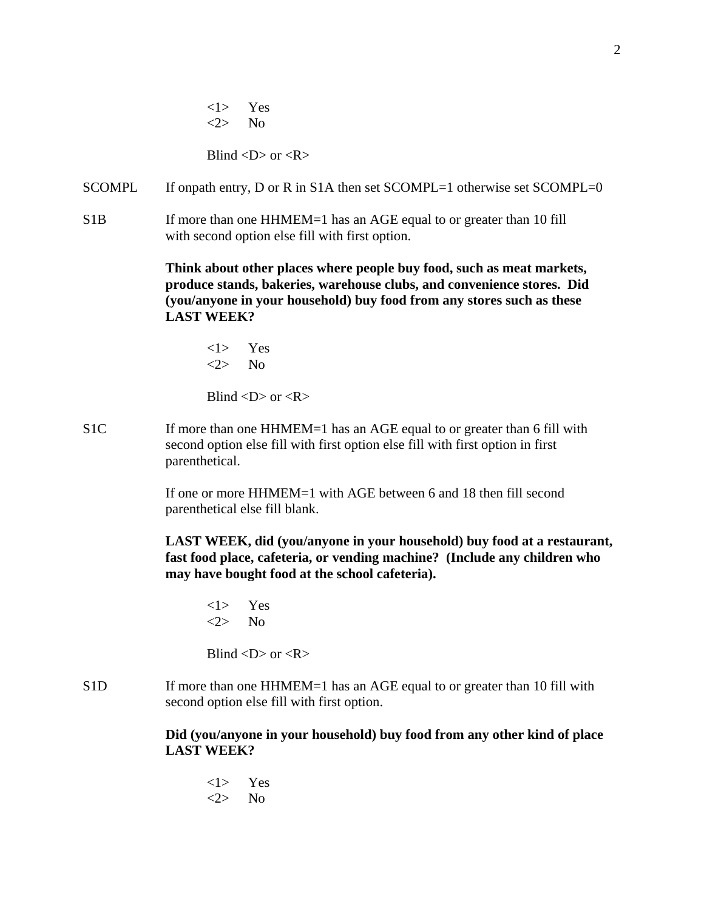<1> Yes <2> No

Blind  $\langle D \rangle$  or  $\langle R \rangle$ 

- SCOMPL If onpath entry, D or R in S1A then set SCOMPL=1 otherwise set SCOMPL=0
- S1B If more than one HHMEM=1 has an AGE equal to or greater than 10 fill with second option else fill with first option.

 **Think about other places where people buy food, such as meat markets, produce stands, bakeries, warehouse clubs, and convenience stores. Did (you/anyone in your household) buy food from any stores such as these LAST WEEK?**

<1> Yes <2> No

Blind  $\langle D \rangle$  or  $\langle R \rangle$ 

S1C If more than one HHMEM=1 has an AGE equal to or greater than 6 fill with second option else fill with first option else fill with first option in first parenthetical.

> If one or more HHMEM=1 with AGE between 6 and 18 then fill second parenthetical else fill blank.

**LAST WEEK, did (you/anyone in your household) buy food at a restaurant, fast food place, cafeteria, or vending machine? (Include any children who may have bought food at the school cafeteria).**

<1> Yes  $\langle 2 \rangle$  No

Blind  $\langle D \rangle$  or  $\langle R \rangle$ 

S1D If more than one HHMEM=1 has an AGE equal to or greater than 10 fill with second option else fill with first option.

> **Did (you/anyone in your household) buy food from any other kind of place LAST WEEK?**

<1> Yes  $\langle 2 \rangle$  No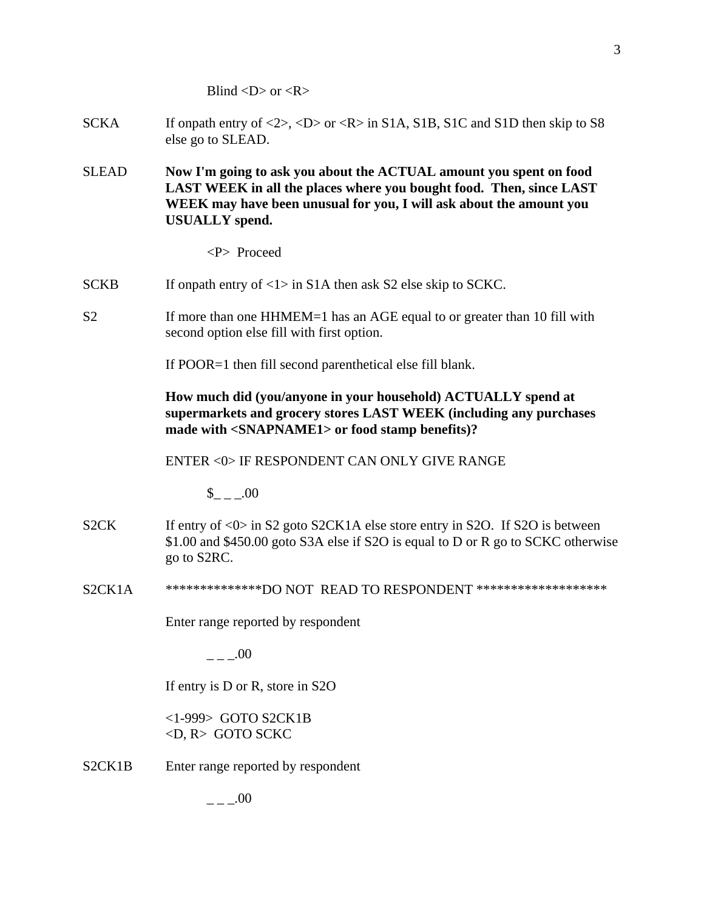Blind  $\langle D \rangle$  or  $\langle R \rangle$ 

- SCKA If onpath entry of  $\langle 2 \rangle$ ,  $\langle D \rangle$  or  $\langle R \rangle$  in S1A, S1B, S1C and S1D then skip to S8 else go to SLEAD.
- SLEAD **Now I'm going to ask you about the ACTUAL amount you spent on food LAST WEEK in all the places where you bought food. Then, since LAST WEEK may have been unusual for you, I will ask about the amount you USUALLY spend.**

<P> Proceed

- SCKB If onpath entry of  $\langle 1 \rangle$  in S1A then ask S2 else skip to SCKC.
- S2 If more than one HHMEM=1 has an AGE equal to or greater than 10 fill with second option else fill with first option.

If POOR=1 then fill second parenthetical else fill blank.

**How much did (you/anyone in your household) ACTUALLY spend at supermarkets and grocery stores LAST WEEK (including any purchases made with <SNAPNAME1> or food stamp benefits)?**

ENTER <0> IF RESPONDENT CAN ONLY GIVE RANGE

 $$ 00$ 

- S2CK If entry of <0> in S2 goto S2CK1A else store entry in S2O. If S2O is between \$1.00 and \$450.00 goto S3A else if S2O is equal to D or R go to SCKC otherwise go to S2RC.
- S2CK1A \*\*\*\*\*\*\*\*\*\*\*\*\*\*\*DO NOT READ TO RESPONDENT \*\*\*\*\*\*\*\*\*\*\*\*\*\*\*\*\*\*\*\*

Enter range reported by respondent

 $.00$ 

If entry is D or R, store in S2O

 <1-999> GOTO S2CK1B <D, R> GOTO SCKC

S2CK1B Enter range reported by respondent

3

 $- -100$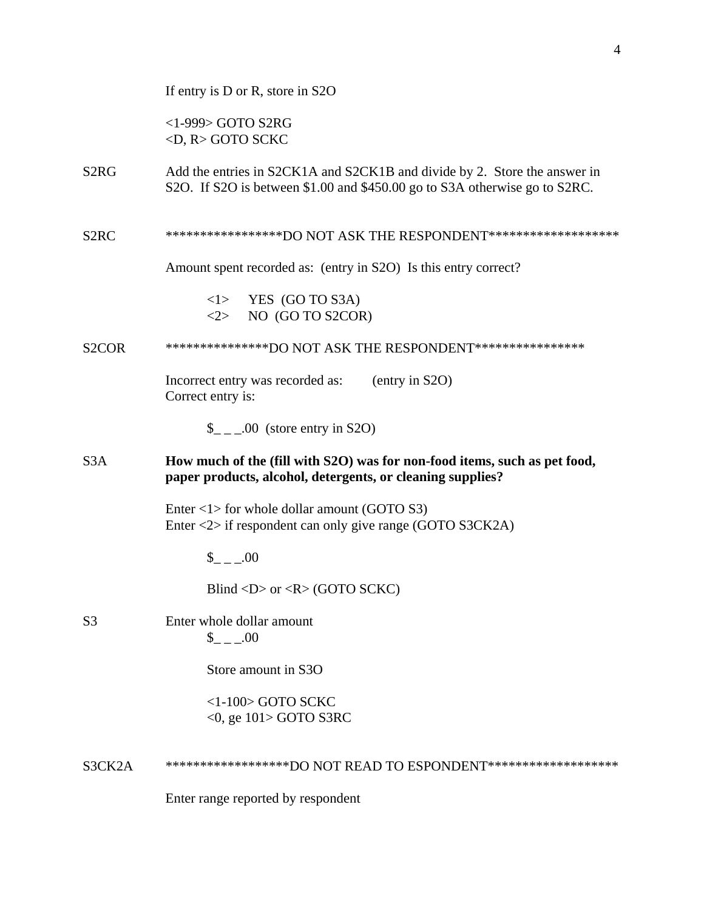|                    | If entry is D or R, store in S2O                                                                                                                        |
|--------------------|---------------------------------------------------------------------------------------------------------------------------------------------------------|
|                    | <1-999> GOTO S2RG<br>$\langle D, R \rangle$ GOTO SCKC                                                                                                   |
| S <sub>2</sub> RG  | Add the entries in S2CK1A and S2CK1B and divide by 2. Store the answer in<br>S2O. If S2O is between \$1.00 and \$450.00 go to S3A otherwise go to S2RC. |
| S <sub>2</sub> RC  | ******************DO NOT ASK THE RESPONDENT********************                                                                                         |
|                    | Amount spent recorded as: (entry in S2O) Is this entry correct?                                                                                         |
|                    | $\langle 1 \rangle$ YES (GO TO S3A)<br>NO (GO TO S2COR)<br>$<\!\!2\!\!>$                                                                                |
| S <sub>2</sub> COR | ****************DO NOT ASK THE RESPONDENT*****************                                                                                              |
|                    | (entry in S2O)<br>Incorrect entry was recorded as:<br>Correct entry is:                                                                                 |
|                    | $\_{$ _ _ .00 (store entry in S2O)                                                                                                                      |
| S <sub>3</sub> A   | How much of the (fill with S2O) was for non-food items, such as pet food,<br>paper products, alcohol, detergents, or cleaning supplies?                 |
|                    |                                                                                                                                                         |
|                    | Enter $\langle 1 \rangle$ for whole dollar amount (GOTO S3)<br>Enter $\langle 2 \rangle$ if respondent can only give range (GOTO S3CK2A)                |
|                    | $_{--.00}$                                                                                                                                              |
|                    | Blind <d> or <r> <math>(R &gt; 0</math> (GOTO SCKC)</r></d>                                                                                             |
| S <sub>3</sub>     | Enter whole dollar amount<br>$\$\quad .00$                                                                                                              |
|                    | Store amount in S3O                                                                                                                                     |
|                    | $<1-100$ GOTO SCKC<br>$<$ 0, ge 101> GOTO S3RC                                                                                                          |
| S3CK2A             | *******************DO NOT READ TO ESPONDENT********************                                                                                         |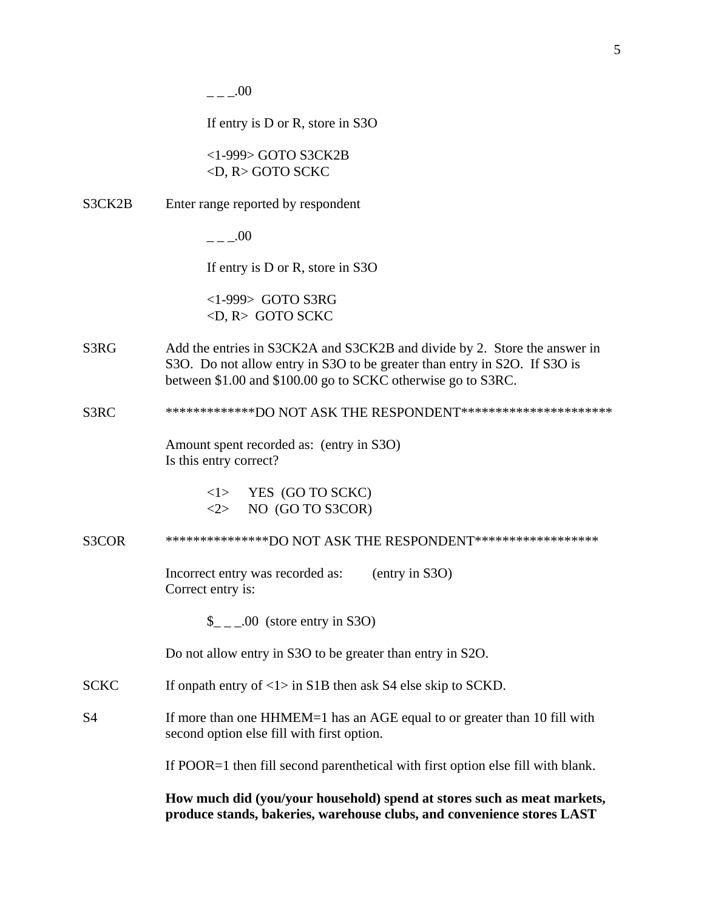$---00$ 

If entry is D or R, store in S3O

<1-999> GOTO S3CK2B <D, R> GOTO SCKC

S3CK2B Enter range reported by respondent

 $---00$ 

If entry is D or R, store in S3O

<1-999> GOTO S3RG <D, R> GOTO SCKC

S3RG Add the entries in S3CK2A and S3CK2B and divide by 2. Store the answer in S3O. Do not allow entry in S3O to be greater than entry in S2O. If S3O is between \$1.00 and \$100.00 go to SCKC otherwise go to S3RC.

## S3RC \*\*\*\*\*\*\*\*\*\*\*\*\*\*DO NOT ASK THE RESPONDENT\*\*\*\*\*\*\*\*\*\*\*\*\*\*\*\*\*\*\*\*\*\*\*

Amount spent recorded as: (entry in S3O) Is this entry correct?

> <1> YES (GO TO SCKC)  $\langle 2 \rangle$  NO (GO TO S3COR)

S3COR \*\*\*\*\*\*\*\*\*\*\*\*\*\*\*\*DO NOT ASK THE RESPONDENT\*\*\*\*\*\*\*\*\*\*\*\*\*\*\*\*\*\*

Incorrect entry was recorded as: (entry in S3O) Correct entry is:

\$ .00 (store entry in S3O)

Do not allow entry in S3O to be greater than entry in S2O.

- SCKC If onpath entry of  $\langle 1 \rangle$  in S1B then ask S4 else skip to SCKD.
- S4 If more than one HHMEM=1 has an AGE equal to or greater than 10 fill with second option else fill with first option.

If POOR=1 then fill second parenthetical with first option else fill with blank.

**How much did (you/your household) spend at stores such as meat markets, produce stands, bakeries, warehouse clubs, and convenience stores LAST**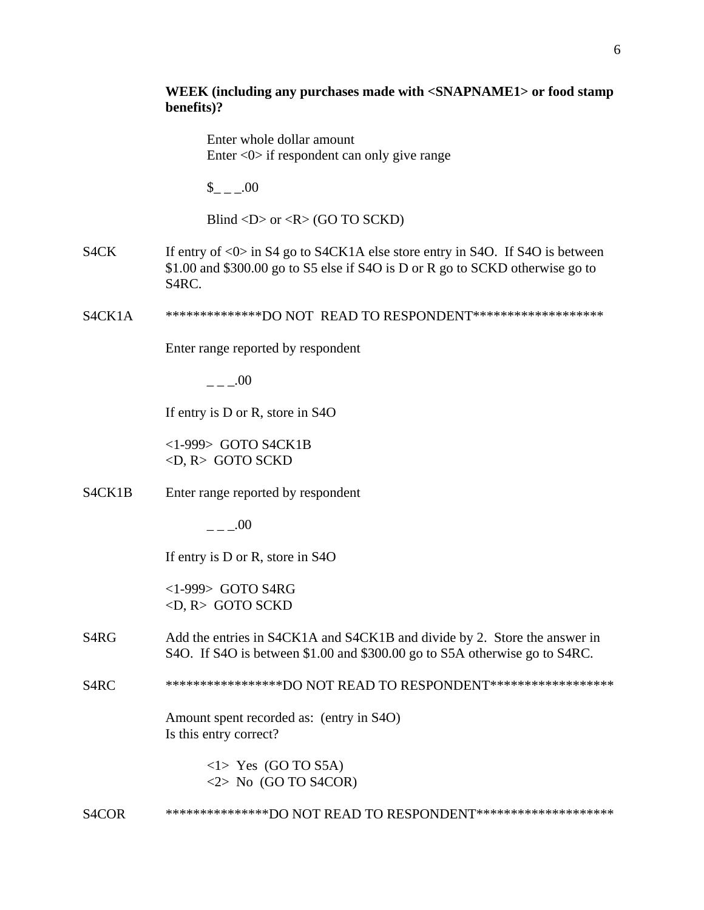|                                  | WEEK (including any purchases made with <snapname1> or food stamp<br/>benefits)?</snapname1>                                                                                            |
|----------------------------------|-----------------------------------------------------------------------------------------------------------------------------------------------------------------------------------------|
|                                  | Enter whole dollar amount<br>Enter $\langle 0 \rangle$ if respondent can only give range                                                                                                |
|                                  | $_{--.00}$                                                                                                                                                                              |
|                                  | Blind <d> or <r> <math>(R &gt; GO</math> TO SCKD)</r></d>                                                                                                                               |
| S4CK                             | If entry of $\langle 0 \rangle$ in S4 go to S4CK1A else store entry in S4O. If S4O is between<br>\$1.00 and \$300.00 go to S5 else if S4O is D or R go to SCKD otherwise go to<br>S4RC. |
| S <sub>4</sub> CK <sub>1</sub> A | ***************DO NOT READ TO RESPONDENT********************                                                                                                                            |
|                                  | Enter range reported by respondent                                                                                                                                                      |
|                                  | .00                                                                                                                                                                                     |
|                                  | If entry is D or R, store in S4O                                                                                                                                                        |
|                                  | <1-999> GOTO S4CK1B<br>$\langle D, R \rangle$ GOTO SCKD                                                                                                                                 |
| S4CK1B                           | Enter range reported by respondent                                                                                                                                                      |
|                                  | 00                                                                                                                                                                                      |
|                                  | If entry is D or R, store in S4O                                                                                                                                                        |
|                                  | $<$ 1-999> GOTO S4RG<br>$\langle D, R \rangle$ GOTO SCKD                                                                                                                                |
| S <sub>4</sub> RG                | Add the entries in S4CK1A and S4CK1B and divide by 2. Store the answer in<br>S4O. If S4O is between \$1.00 and \$300.00 go to S5A otherwise go to S4RC.                                 |
| S <sub>4</sub> RC                | ******************DO NOT READ TO RESPONDENT*******************                                                                                                                          |
|                                  | Amount spent recorded as: (entry in S4O)<br>Is this entry correct?                                                                                                                      |
|                                  | $\langle$ 1> Yes (GO TO S5A)<br>$\langle 2 \rangle$ No (GO TO S4COR)                                                                                                                    |
| S <sub>4</sub> COR               | ****************DO NOT READ TO RESPONDENT*********************                                                                                                                          |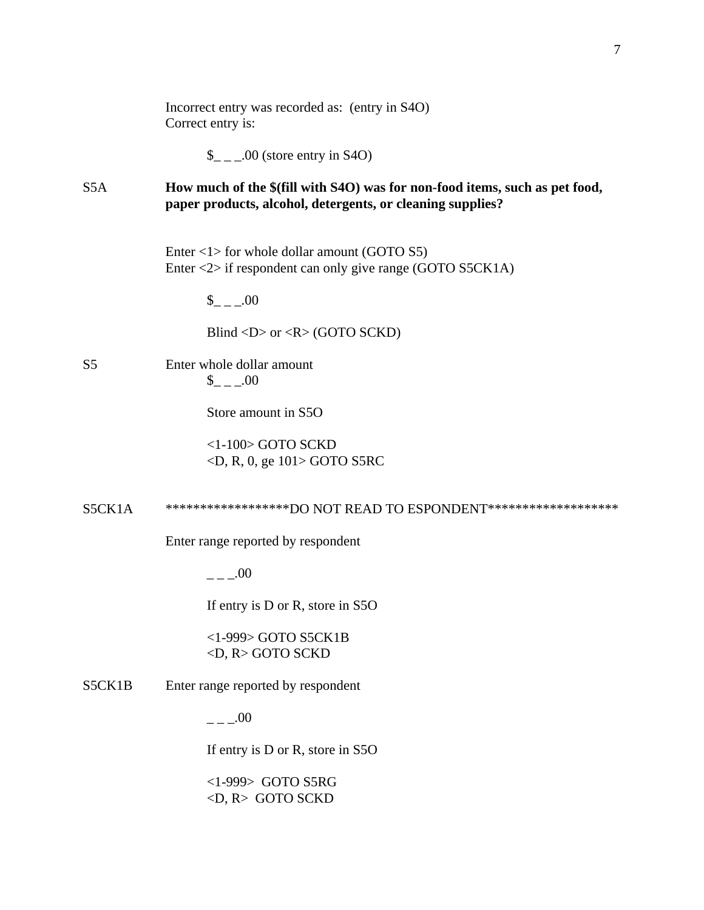|                | Incorrect entry was recorded as: (entry in S4O)<br>Correct entry is:                                                                      |
|----------------|-------------------------------------------------------------------------------------------------------------------------------------------|
|                | $\frac{1}{2}$ _ _00 (store entry in S4O)                                                                                                  |
| S5A            | How much of the \$(fill with S4O) was for non-food items, such as pet food,<br>paper products, alcohol, detergents, or cleaning supplies? |
|                | Enter $\langle 1 \rangle$ for whole dollar amount (GOTO S5)<br>Enter $\langle 2 \rangle$ if respondent can only give range (GOTO S5CK1A)  |
|                | $_{--.00}$                                                                                                                                |
|                | Blind <d> or <r> <math>(R&gt;</math> (GOTO SCKD)</r></d>                                                                                  |
| S <sub>5</sub> | Enter whole dollar amount<br>$_{--.00}$                                                                                                   |
|                | Store amount in S5O                                                                                                                       |
|                | $<$ 1-100 $>$ GOTO SCKD<br>$\langle D, R, 0, ge 101 \rangle$ GOTO S5RC                                                                    |
| S5CK1A         | *******************DO NOT READ TO ESPONDENT********************                                                                           |
|                | Enter range reported by respondent                                                                                                        |
|                | $_{--}$ .00                                                                                                                               |
|                | If entry is D or R, store in S5O                                                                                                          |
|                | $<$ 1-999> GOTO S5CK1B<br><d, r=""> GOTO SCKD</d,>                                                                                        |
| S5CK1B         | Enter range reported by respondent                                                                                                        |
|                | $   00$                                                                                                                                   |
|                | If entry is D or R, store in S5O                                                                                                          |
|                | $<$ 1-999> GOTO S5RG<br><d, r=""> GOTO SCKD</d,>                                                                                          |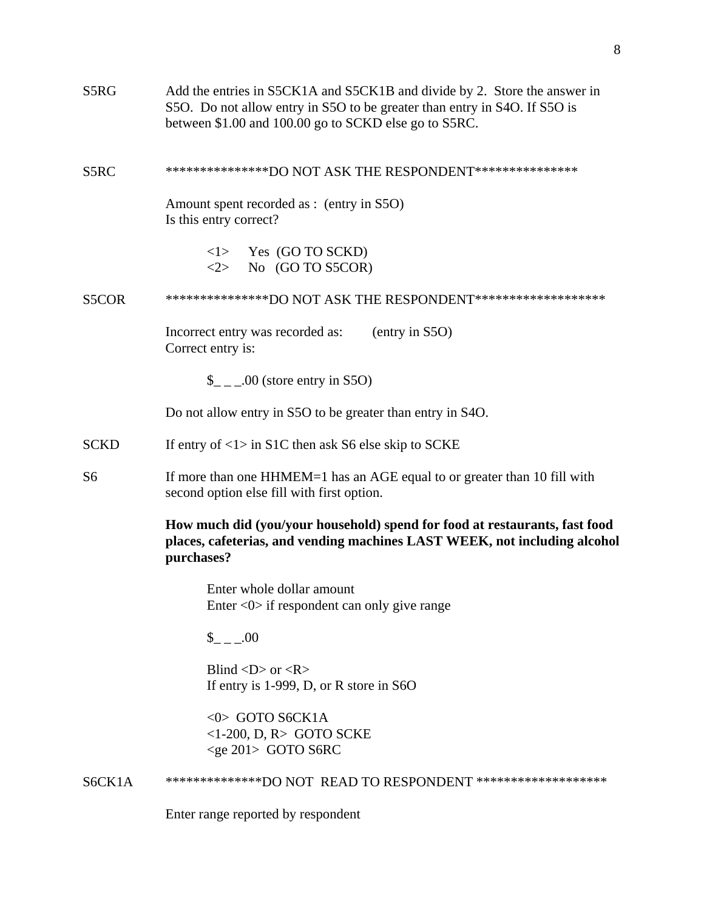| S5RG           | Add the entries in S5CK1A and S5CK1B and divide by 2. Store the answer in<br>S50. Do not allow entry in S50 to be greater than entry in S40. If S50 is<br>between \$1.00 and 100.00 go to SCKD else go to S5RC. |
|----------------|-----------------------------------------------------------------------------------------------------------------------------------------------------------------------------------------------------------------|
| S5RC           | ****************DO NOT ASK THE RESPONDENT****************                                                                                                                                                       |
|                | Amount spent recorded as : (entry in S5O)<br>Is this entry correct?                                                                                                                                             |
|                | $\langle$ 1> Yes (GO TO SCKD)<br>$\langle 2 \rangle$ No (GO TO S5COR)                                                                                                                                           |
| S5COR          | ****************DO NOT ASK THE RESPONDENT********************                                                                                                                                                   |
|                | (entry in S5O)<br>Incorrect entry was recorded as:<br>Correct entry is:                                                                                                                                         |
|                | $\_{$ _ _ .00 (store entry in S5O)                                                                                                                                                                              |
|                | Do not allow entry in S5O to be greater than entry in S4O.                                                                                                                                                      |
| <b>SCKD</b>    | If entry of $\langle 1 \rangle$ in S1C then ask S6 else skip to SCKE                                                                                                                                            |
| S <sub>6</sub> | If more than one HHMEM=1 has an AGE equal to or greater than 10 fill with<br>second option else fill with first option.                                                                                         |
|                | How much did (you/your household) spend for food at restaurants, fast food<br>places, cafeterias, and vending machines LAST WEEK, not including alcohol<br>purchases?                                           |
|                | Enter whole dollar amount<br>Enter $\langle 0 \rangle$ if respondent can only give range                                                                                                                        |
|                | $_{--.00}$                                                                                                                                                                                                      |
|                | Blind $\langle D \rangle$ or $\langle R \rangle$<br>If entry is 1-999, D, or R store in $S6O$                                                                                                                   |
|                | $<0$ > GOTO S6CK1A<br>$<$ 1-200, D, R $>$ GOTO SCKE<br>$<$ ge 201> GOTO S6RC                                                                                                                                    |
| S6CK1A         | ***************DO NOT READ TO RESPONDENT ********************                                                                                                                                                   |
|                | Enter range reported by respondent                                                                                                                                                                              |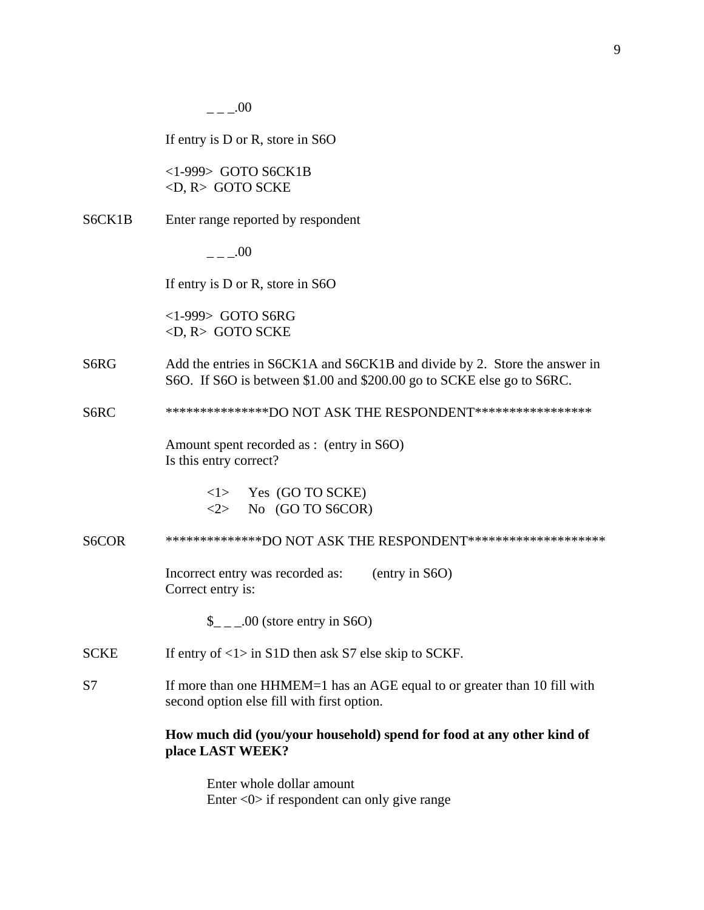|             | 00                                                                                                                                                  |
|-------------|-----------------------------------------------------------------------------------------------------------------------------------------------------|
|             | If entry is $D$ or $R$ , store in S6O                                                                                                               |
|             | $<$ 1-999> GOTO S6CK1B<br>$\langle D, R \rangle$ GOTO SCKE                                                                                          |
| S6CK1B      | Enter range reported by respondent                                                                                                                  |
|             | $\overline{a}$ . 00                                                                                                                                 |
|             | If entry is $D$ or $R$ , store in S6O                                                                                                               |
|             | $<$ 1-999> GOTO S6RG<br>$\langle D, R \rangle$ GOTO SCKE                                                                                            |
| S6RG        | Add the entries in S6CK1A and S6CK1B and divide by 2. Store the answer in<br>S6O. If S6O is between \$1.00 and \$200.00 go to SCKE else go to S6RC. |
| S6RC        | ****************DO NOT ASK THE RESPONDENT******************                                                                                         |
|             | Amount spent recorded as : (entry in S6O)<br>Is this entry correct?                                                                                 |
|             | $\langle$ 1> Yes (GO TO SCKE)<br>$\langle 2 \rangle$ No (GO TO S6COR)                                                                               |
| S6COR       | ***************DO NOT ASK THE RESPONDENT*********************                                                                                       |
|             | Incorrect entry was recorded as:<br>(entry in S6O)<br>Correct entry is:                                                                             |
|             | $\frac{1}{2}$ _ _00 (store entry in S6O)                                                                                                            |
| <b>SCKE</b> | If entry of $\langle 1 \rangle$ in S1D then ask S7 else skip to SCKF.                                                                               |
| S7          | If more than one HHMEM=1 has an AGE equal to or greater than 10 fill with<br>second option else fill with first option.                             |
|             | How much did (you/your household) spend for food at any other kind of<br>place LAST WEEK?                                                           |
|             | Enter whole dollar amount                                                                                                                           |

Enter <0> if respondent can only give range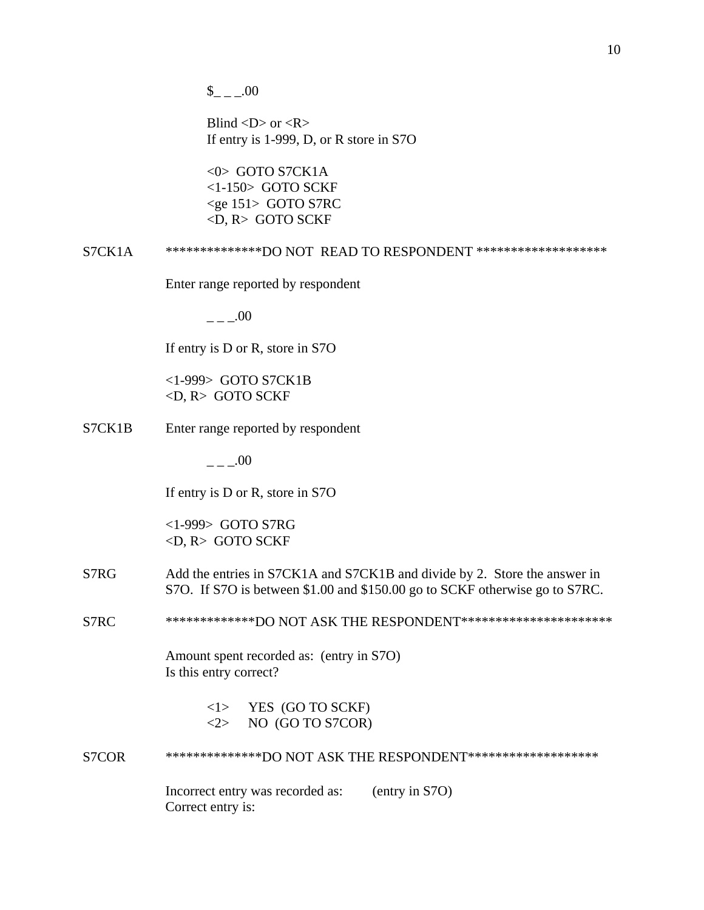$_{- -100}$ 

Blind  $\langle D \rangle$  or  $\langle R \rangle$ If entry is 1-999, D, or R store in S7O

<0> GOTO S7CK1A <1-150> GOTO SCKF <ge 151> GOTO S7RC <D, R> GOTO SCKF

S7CK1A \*\*\*\*\*\*\*\*\*\*\*\*\*\*DO NOT READ TO RESPONDENT \*\*\*\*\*\*\*\*\*\*\*\*\*\*\*\*\*\*\*

Enter range reported by respondent

 $---00$ 

If entry is D or R, store in S7O

 <1-999> GOTO S7CK1B <D, R> GOTO SCKF

S7CK1B Enter range reported by respondent

 $- -00$ 

If entry is D or R, store in S7O

 <1-999> GOTO S7RG <D, R> GOTO SCKF

- S7RG Add the entries in S7CK1A and S7CK1B and divide by 2. Store the answer in S7O. If S7O is between \$1.00 and \$150.00 go to SCKF otherwise go to S7RC.
- S7RC \*\*\*\*\*\*\*\*\*\*\*\*\*\*DO NOT ASK THE RESPONDENT\*\*\*\*\*\*\*\*\*\*\*\*\*\*\*\*\*\*\*\*\*\*\*

Amount spent recorded as: (entry in S7O) Is this entry correct?

> <1> YES (GO TO SCKF)  $\langle 2 \rangle$  NO (GO TO S7COR)

S7COR \*\*\*\*\*\*\*\*\*\*\*\*\*\*\*DO NOT ASK THE RESPONDENT\*\*\*\*\*\*\*\*\*\*\*\*\*\*\*\*\*\*\*\*

Incorrect entry was recorded as: (entry in S7O) Correct entry is: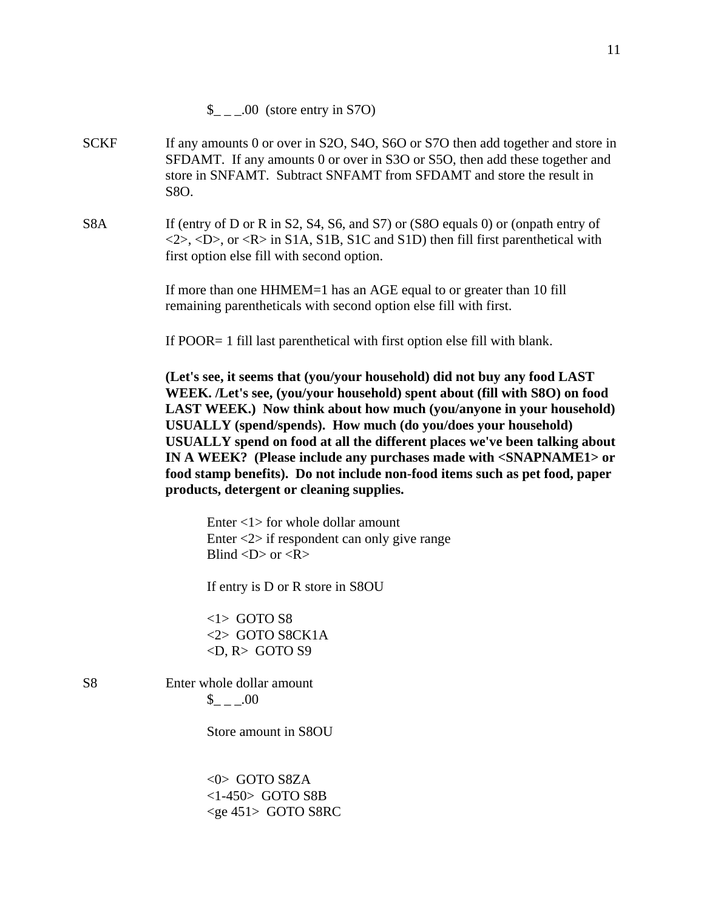- SCKF If any amounts 0 or over in S2O, S4O, S6O or S7O then add together and store in SFDAMT. If any amounts 0 or over in S3O or S5O, then add these together and store in SNFAMT. Subtract SNFAMT from SFDAMT and store the result in S8O.
- S8A If (entry of D or R in S2, S4, S6, and S7) or (S8O equals 0) or (onpath entry of  $\langle 2 \rangle$ ,  $\langle D \rangle$ , or  $\langle R \rangle$  in S1A, S1B, S1C and S1D) then fill first parenthetical with first option else fill with second option.

If more than one HHMEM=1 has an AGE equal to or greater than 10 fill remaining parentheticals with second option else fill with first.

If POOR= 1 fill last parenthetical with first option else fill with blank.

**(Let's see, it seems that (you/your household) did not buy any food LAST WEEK. /Let's see, (you/your household) spent about (fill with S8O) on food LAST WEEK.) Now think about how much (you/anyone in your household) USUALLY (spend/spends). How much (do you/does your household) USUALLY spend on food at all the different places we've been talking about IN A WEEK? (Please include any purchases made with <SNAPNAME1> or food stamp benefits). Do not include non-food items such as pet food, paper products, detergent or cleaning supplies.** 

Enter  $\langle 1 \rangle$  for whole dollar amount Enter <2> if respondent can only give range Blind  $\langle D \rangle$  or  $\langle R \rangle$ 

If entry is D or R store in S8OU

 $\langle$ 1> GOTO S8 <2> GOTO S8CK1A  $\langle D, R \rangle$  GOTO S9

S8 Enter whole dollar amount  $_{- -100}$ 

Store amount in S8OU

 <0> GOTO S8ZA <1-450> GOTO S8B <ge 451> GOTO S8RC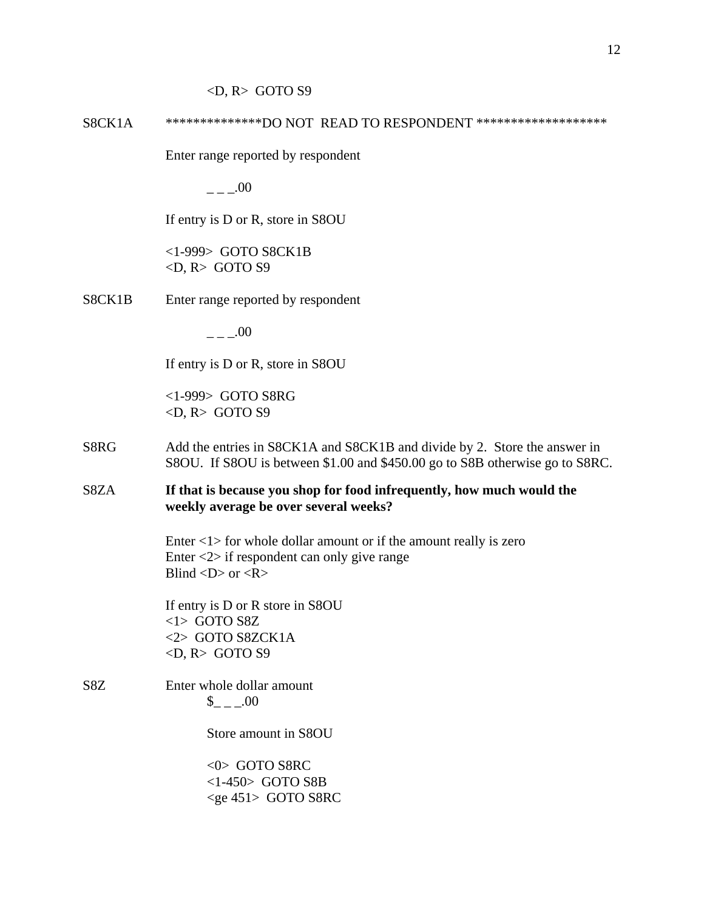#### $\langle D, R \rangle$  GOTO S9

S8CK1A \*\*\*\*\*\*\*\*\*\*\*\*\*\*\*DO NOT READ TO RESPONDENT \*\*\*\*\*\*\*\*\*\*\*\*\*\*\*\*\*\*\*\*

Enter range reported by respondent

 $---00$ 

If entry is D or R, store in S8OU

 <1-999> GOTO S8CK1B  $\langle D, R \rangle$  GOTO S9

S8CK1B Enter range reported by respondent

 $- -00$ 

If entry is D or R, store in S8OU

 <1-999> GOTO S8RG  $\langle D, R \rangle$  GOTO S9

- S8RG Add the entries in S8CK1A and S8CK1B and divide by 2. Store the answer in S8OU. If S8OU is between \$1.00 and \$450.00 go to S8B otherwise go to S8RC.
- S8ZA **If that is because you shop for food infrequently, how much would the weekly average be over several weeks?**

Enter  $\langle 1 \rangle$  for whole dollar amount or if the amount really is zero Enter <2> if respondent can only give range Blind  $\langle D \rangle$  or  $\langle R \rangle$ 

 If entry is D or R store in S8OU  $<$ 1> GOTO S8Z <2> GOTO S8ZCK1A  $\langle D, R \rangle$  GOTO S9

S8Z Enter whole dollar amount  $_{\text{-}}$   $_{-}$   $_{-}$   $.00$ 

Store amount in S8OU

 <0> GOTO S8RC <1-450> GOTO S8B <ge 451> GOTO S8RC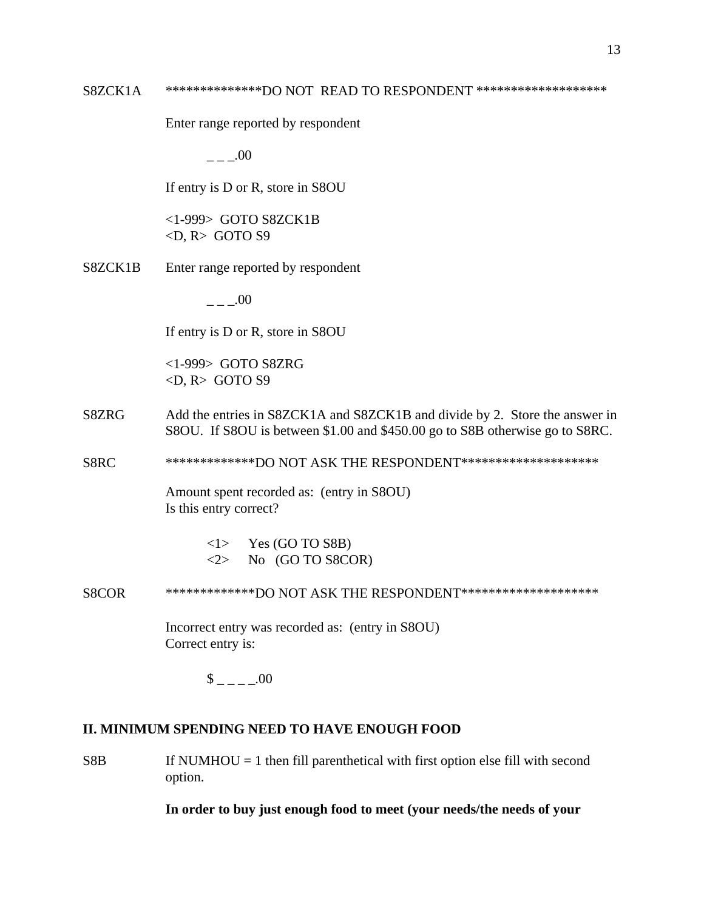### S8ZCK1A \*\*\*\*\*\*\*\*\*\*\*\*\*\*\*DO NOT READ TO RESPONDENT \*\*\*\*\*\*\*\*\*\*\*\*\*\*\*\*\*\*\*\*\*

Enter range reported by respondent

 $- -00$ 

If entry is D or R, store in S8OU

 <1-999> GOTO S8ZCK1B  $\langle D, R \rangle$  GOTO S9

S8ZCK1B Enter range reported by respondent

 $.00$ 

If entry is D or R, store in S8OU

 <1-999> GOTO S8ZRG  $\langle D, R \rangle$  GOTO S9

S8ZRG Add the entries in S8ZCK1A and S8ZCK1B and divide by 2. Store the answer in S8OU. If S8OU is between \$1.00 and \$450.00 go to S8B otherwise go to S8RC.

S8RC \*\*\*\*\*\*\*\*\*\*\*\*\*\*DO NOT ASK THE RESPONDENT\*\*\*\*\*\*\*\*\*\*\*\*\*\*\*\*\*\*\*\*\*\*

Amount spent recorded as: (entry in S8OU) Is this entry correct?

> $\langle$ 1> Yes (GO TO S8B)  $\langle 2 \rangle$  No (GO TO S8COR)

S8COR \*\*\*\*\*\*\*\*\*\*\*\*\*\*DO NOT ASK THE RESPONDENT\*\*\*\*\*\*\*\*\*\*\*\*\*\*\*\*\*\*\*\*\*

Incorrect entry was recorded as: (entry in S8OU) Correct entry is:

 $\$\quad .00$ 

### **II. MINIMUM SPENDING NEED TO HAVE ENOUGH FOOD**

 $S8B$  If NUMHOU = 1 then fill parenthetical with first option else fill with second option.

**In order to buy just enough food to meet (your needs/the needs of your**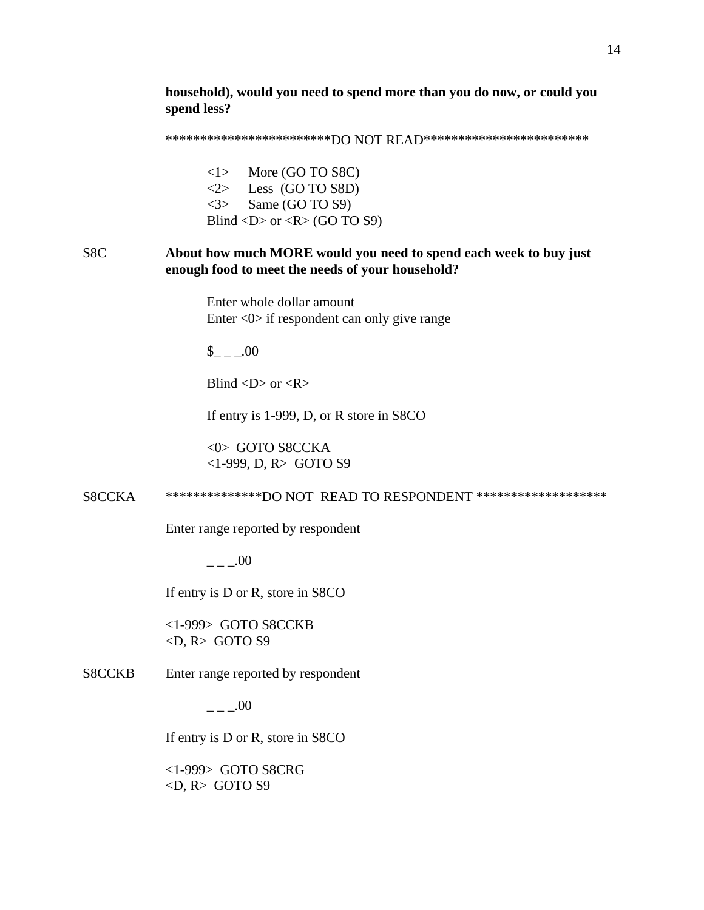**household), would you need to spend more than you do now, or could you spend less?** 

\*\*\*\*\*\*\*\*\*\*\*\*\*\*\*\*\*\*\*\*\*\*\*\*\*DO NOT READ\*\*\*\*\*\*\*\*\*\*\*\*\*\*\*\*\*\*\*\*\*\*\*\*\*\*

<1> More (GO TO S8C)  $\langle 2 \rangle$  Less (GO TO S8D) <3> Same (GO TO S9) Blind  $\langle D \rangle$  or  $\langle R \rangle$  (GO TO S9)

# S8C **About how much MORE would you need to spend each week to buy just enough food to meet the needs of your household?**

 Enter whole dollar amount Enter <0> if respondent can only give range

\$\_ \_ \_.00

Blind  $\langle D \rangle$  or  $\langle R \rangle$ 

If entry is 1-999, D, or R store in S8CO

 <0> GOTO S8CCKA <1-999, D, R> GOTO S9

S8CCKA \*\*\*\*\*\*\*\*\*\*\*\*\*\*DO NOT READ TO RESPONDENT \*\*\*\*\*\*\*\*\*\*\*\*\*\*\*\*\*\*\*

Enter range reported by respondent

 $---00$ 

If entry is D or R, store in S8CO

 <1-999> GOTO S8CCKB <D, R> GOTO S9

### S8CCKB Enter range reported by respondent

 $- -00$ 

If entry is D or R, store in S8CO

 <1-999> GOTO S8CRG  $\langle D, R \rangle$  GOTO S9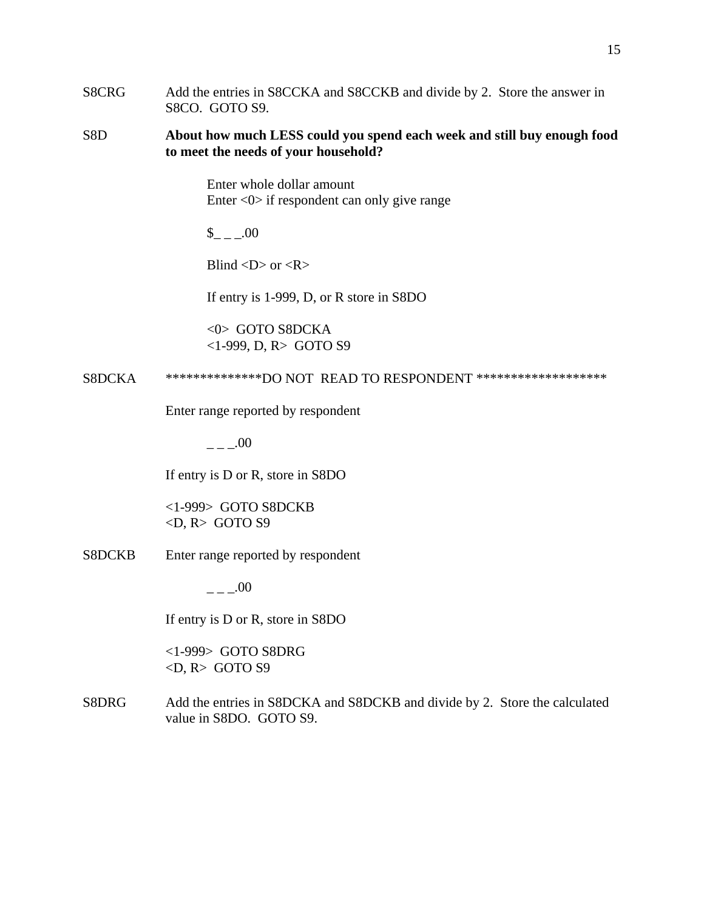S8CRG Add the entries in S8CCKA and S8CCKB and divide by 2. Store the answer in S8CO. GOTO S9.

## S8D **About how much LESS could you spend each week and still buy enough food to meet the needs of your household?**

 Enter whole dollar amount Enter <0> if respondent can only give range

 $_{- -100}$ 

Blind  $\langle D \rangle$  or  $\langle R \rangle$ 

If entry is 1-999, D, or R store in S8DO

 <0> GOTO S8DCKA <1-999, D, R> GOTO S9

S8DCKA \*\*\*\*\*\*\*\*\*\*\*\*\*\*\*DO NOT READ TO RESPONDENT \*\*\*\*\*\*\*\*\*\*\*\*\*\*\*\*\*\*\*\*\*

Enter range reported by respondent

 $---00$ 

If entry is D or R, store in S8DO

 <1-999> GOTO S8DCKB  $\langle D, R \rangle$  GOTO S9

S8DCKB Enter range reported by respondent

 $- -00$ 

If entry is D or R, store in S8DO

 <1-999> GOTO S8DRG  $\langle D, R \rangle$  GOTO S9

S8DRG Add the entries in S8DCKA and S8DCKB and divide by 2. Store the calculated value in S8DO. GOTO S9.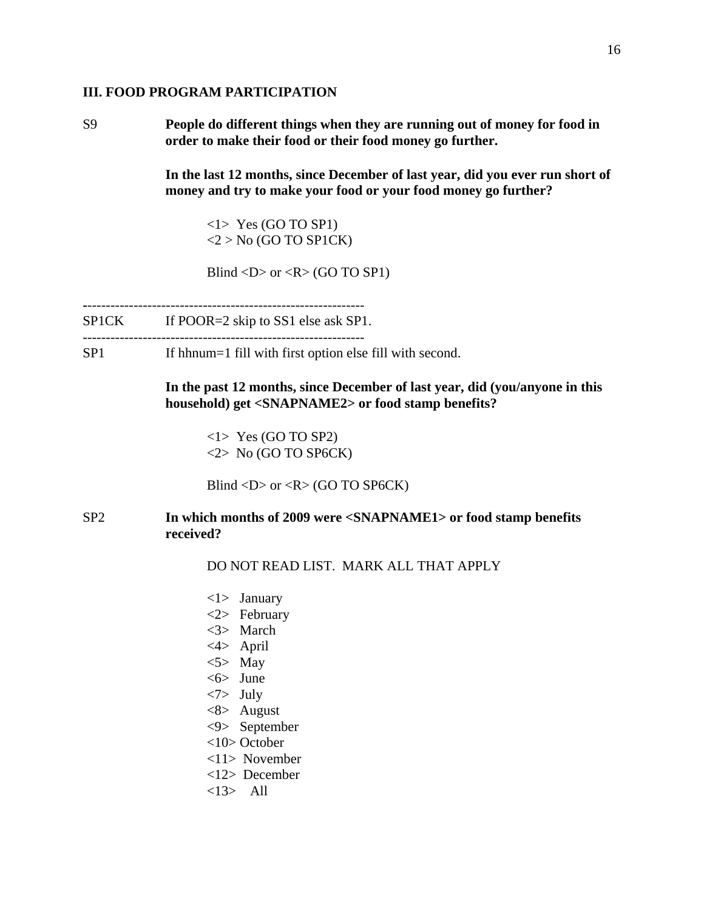#### **III. FOOD PROGRAM PARTICIPATION**

S9 **People do different things when they are running out of money for food in order to make their food or their food money go further.** 

> **In the last 12 months, since December of last year, did you ever run short of money and try to make your food or your food money go further?**

<1> Yes (GO TO SP1)  $<$ 2 > No (GO TO SP1CK)

Blind  $\langle D \rangle$  or  $\langle R \rangle$  (GO TO SP1)

**-**------------------------------------------------------------

SP1CK If POOR=2 skip to SS1 else ask SP1. -------------------------------------------------------------

SP1 If hhnum=1 fill with first option else fill with second.

**In the past 12 months, since December of last year, did (you/anyone in this household) get <SNAPNAME2> or food stamp benefits?** 

<1> Yes (GO TO SP2) <2> No (GO TO SP6CK)

Blind  $\langle D \rangle$  or  $\langle R \rangle$  (GO TO SP6CK)

## SP2 **In which months of 2009 were <SNAPNAME1> or food stamp benefits received?**

DO NOT READ LIST. MARK ALL THAT APPLY

 <1> January <2> February <3> March <4> April  $<$ 5> May <6> June <7> July <8> August <9> September <10> October <11> November <12> December <13> All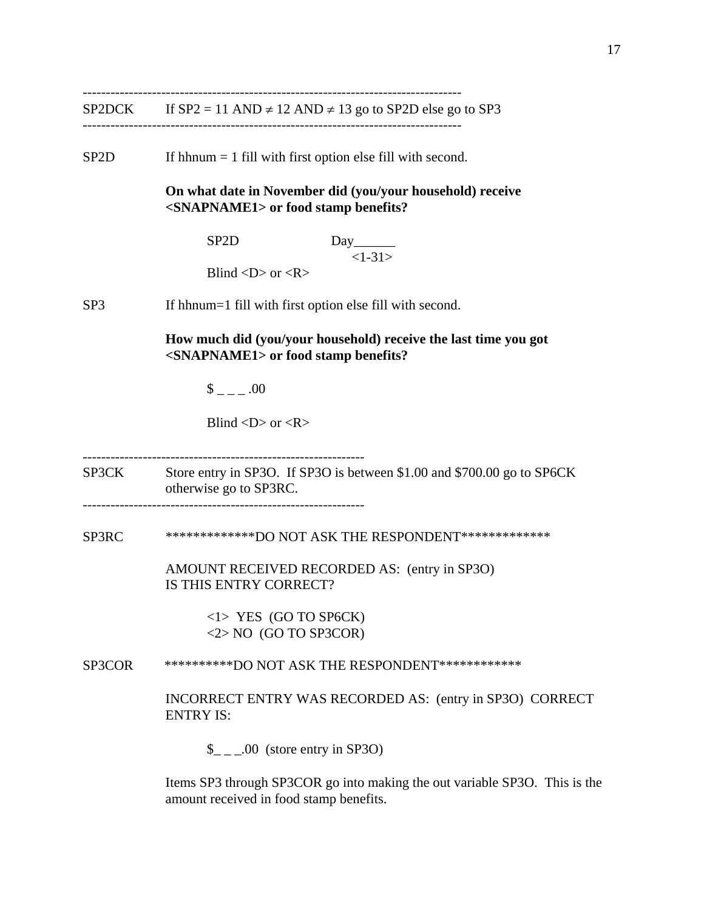SP2DCK If  $SP2 = 11$  AND  $\neq$  12 AND  $\neq$  13 go to SP2D else go to SP3

----------------------------------------------------------------------------------

 $SP2D$  If hhnum = 1 fill with first option else fill with second.

**On what date in November did (you/your household) receive <SNAPNAME1> or food stamp benefits?** 

> **SP2D** Day  $<1-31>$

Blind  $\langle D \rangle$  or  $\langle R \rangle$ 

SP3 If hhnum=1 fill with first option else fill with second.

**How much did (you/your household) receive the last time you got <SNAPNAME1> or food stamp benefits?**

 $\frac{\$}{\$}$  \_ \_ \_ .00

Blind  $\langle D \rangle$  or  $\langle R \rangle$ 

-------------------------------------------------------------

SP3CK Store entry in SP3O. If SP3O is between \$1.00 and \$700.00 go to SP6CK otherwise go to SP3RC. -------------------------------------------------------------

SP3RC \*\*\*\*\*\*\*\*\*\*\*\*\*\*DO NOT ASK THE RESPONDENT\*\*\*\*\*\*\*\*\*\*\*\*\*\*

 AMOUNT RECEIVED RECORDED AS: (entry in SP3O) IS THIS ENTRY CORRECT?

> <1> YES (GO TO SP6CK) <2> NO (GO TO SP3COR)

SP3COR \*\*\*\*\*\*\*\*\*\*DO NOT ASK THE RESPONDENT\*\*\*\*\*\*\*\*\*\*\*\*

INCORRECT ENTRY WAS RECORDED AS: (entry in SP3O) CORRECT ENTRY IS:

 $\frac{1}{2}$  \_ \_00 (store entry in SP3O)

Items SP3 through SP3COR go into making the out variable SP3O. This is the amount received in food stamp benefits.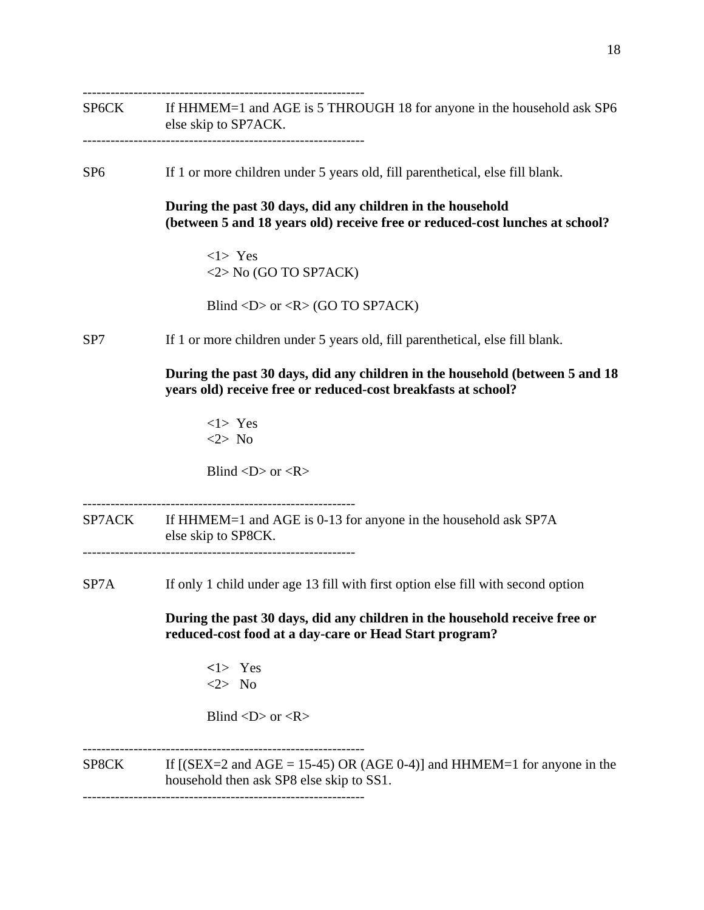-------------------------------------------------------------

SP6CK If HHMEM=1 and AGE is 5 THROUGH 18 for anyone in the household ask SP6 else skip to SP7ACK. -------------------------------------------------------------

SP6 If 1 or more children under 5 years old, fill parenthetical, else fill blank.

**During the past 30 days, did any children in the household (between 5 and 18 years old) receive free or reduced-cost lunches at school?**

<1> Yes <2> No (GO TO SP7ACK)

Blind  $\langle D \rangle$  or  $\langle R \rangle$  (GO TO SP7ACK)

SP7 If 1 or more children under 5 years old, fill parenthetical, else fill blank.

**During the past 30 days, did any children in the household (between 5 and 18 years old) receive free or reduced-cost breakfasts at school?**

<1> Yes <2> No

Blind  $\langle D \rangle$  or  $\langle R \rangle$ 

-----------------------------------------------------------

SP7ACK If HHMEM=1 and AGE is 0-13 for anyone in the household ask SP7A else skip to SP8CK.

-----------------------------------------------------------

SP7A If only 1 child under age 13 fill with first option else fill with second option

**During the past 30 days, did any children in the household receive free or reduced-cost food at a day-care or Head Start program?**

> **<**1> Yes <2> No

Blind  $\langle D \rangle$  or  $\langle R \rangle$ 

-------------------------------------------------------------

SP8CK If  $[(SEX=2 \text{ and } AGE = 15-45) \text{ OR } (AGE 0-4)]$  and  $HHMEM=1$  for anyone in the household then ask SP8 else skip to SS1.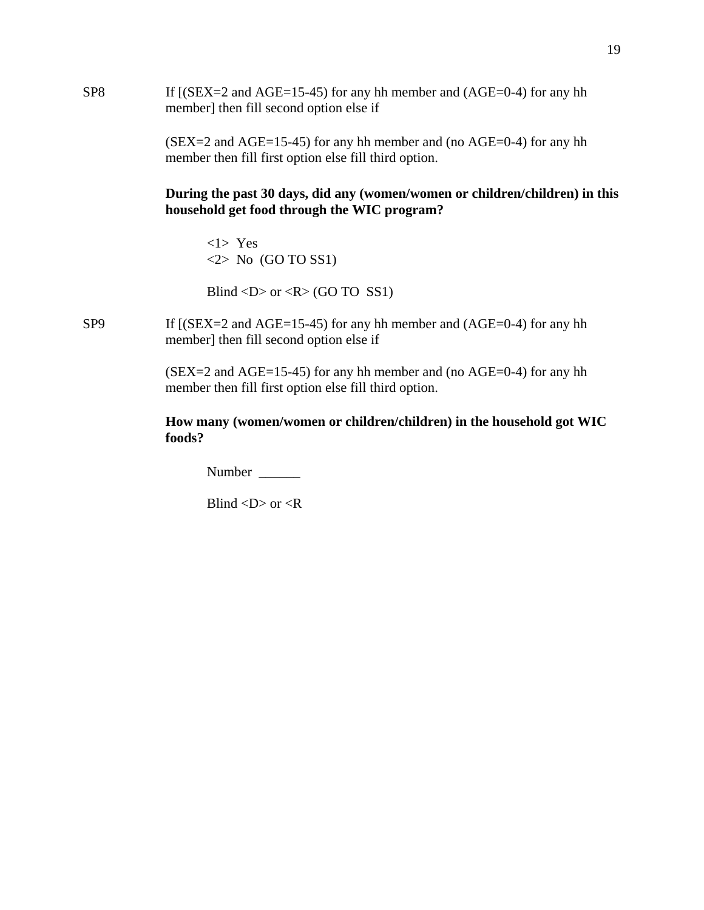| SP <sub>8</sub> | If $[(SEX=2 \text{ and } AGE=15-45)$ for any hh member and $(AGE=0-4)$ for any hh<br>member] then fill second option else if             |
|-----------------|------------------------------------------------------------------------------------------------------------------------------------------|
|                 | $(SEX = 2$ and $AGE = 15-45$ for any hh member and (no $AGE = 0-4$ ) for any hh<br>member then fill first option else fill third option. |
|                 | During the past 30 days, did any (women/women or children/children) in this<br>household get food through the WIC program?               |
|                 | $<1>$ Yes<br>$\langle 2 \rangle$ No (GO TO SS1)                                                                                          |
|                 | Blind <d> or <r> <math>(R &gt; GO</math> TO SS1)</r></d>                                                                                 |
| SP <sub>9</sub> | If $[(SEX=2 \text{ and } AGE=15-45)$ for any hh member and $(AGE=0-4)$ for any hh<br>member] then fill second option else if             |
|                 | $(SEX=2$ and $AGE=15-45$ for any hh member and (no $AGE=0-4$ ) for any hh                                                                |

**How many (women/women or children/children) in the household got WIC foods?**

Number \_\_\_\_\_\_\_

member then fill first option else fill third option.

Blind <D> or <R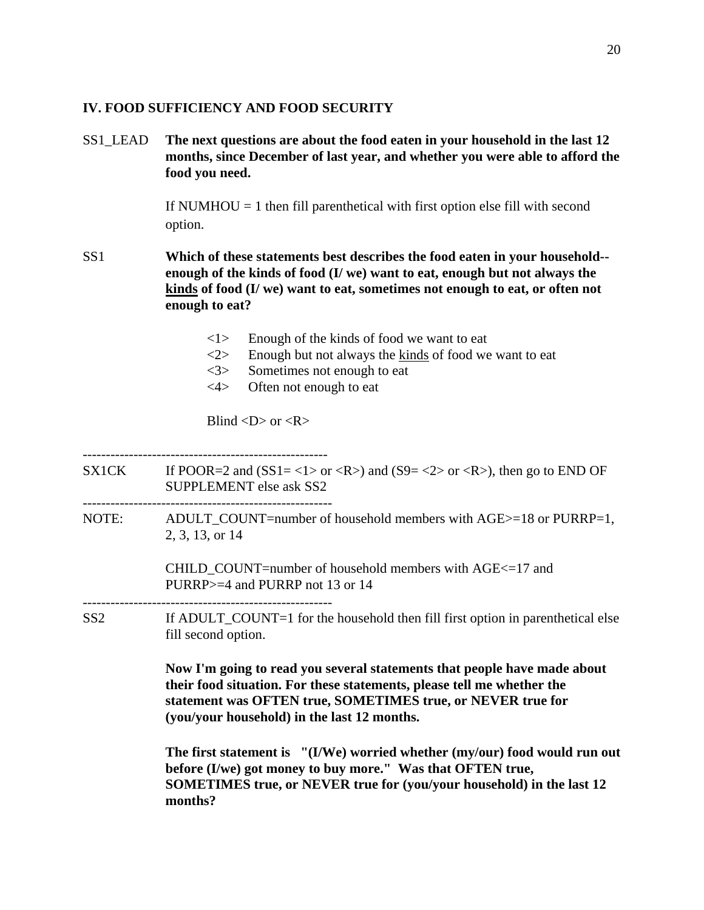### **IV. FOOD SUFFICIENCY AND FOOD SECURITY**

SS1\_LEAD **The next questions are about the food eaten in your household in the last 12 months, since December of last year, and whether you were able to afford the food you need.** 

> If NUMHOU  $=$  1 then fill parenthetical with first option else fill with second option.

- SS1 **Which of these statements best describes the food eaten in your household- enough of the kinds of food (I/ we) want to eat, enough but not always the kinds of food (I/ we) want to eat, sometimes not enough to eat, or often not enough to eat?**
	- <1> Enough of the kinds of food we want to eat
	- $\langle 2 \rangle$  Enough but not always the kinds of food we want to eat
	- <3> Sometimes not enough to eat
	- <4> Often not enough to eat

Blind  $\langle D \rangle$  or  $\langle R \rangle$ 

**months?** 

----------------------------------------------------- SX1CK If POOR=2 and  $(SS1 = <1> or )$  and  $(S9 = <2> or )$ , then go to END OF SUPPLEMENT else ask SS2 ------------------------------------------------------ NOTE: ADULT COUNT=number of household members with AGE>=18 or PURRP=1, 2, 3, 13, or 14 CHILD\_COUNT=number of household members with AGE<=17 and PURRP>=4 and PURRP not 13 or 14 ------------------------------------------------------ SS2 If ADULT\_COUNT=1 for the household then fill first option in parenthetical else fill second option. **Now I'm going to read you several statements that people have made about their food situation. For these statements, please tell me whether the statement was OFTEN true, SOMETIMES true, or NEVER true for (you/your household) in the last 12 months. The first statement is "(I/We) worried whether (my/our) food would run out before (I/we) got money to buy more." Was that OFTEN true, SOMETIMES true, or NEVER true for (you/your household) in the last 12**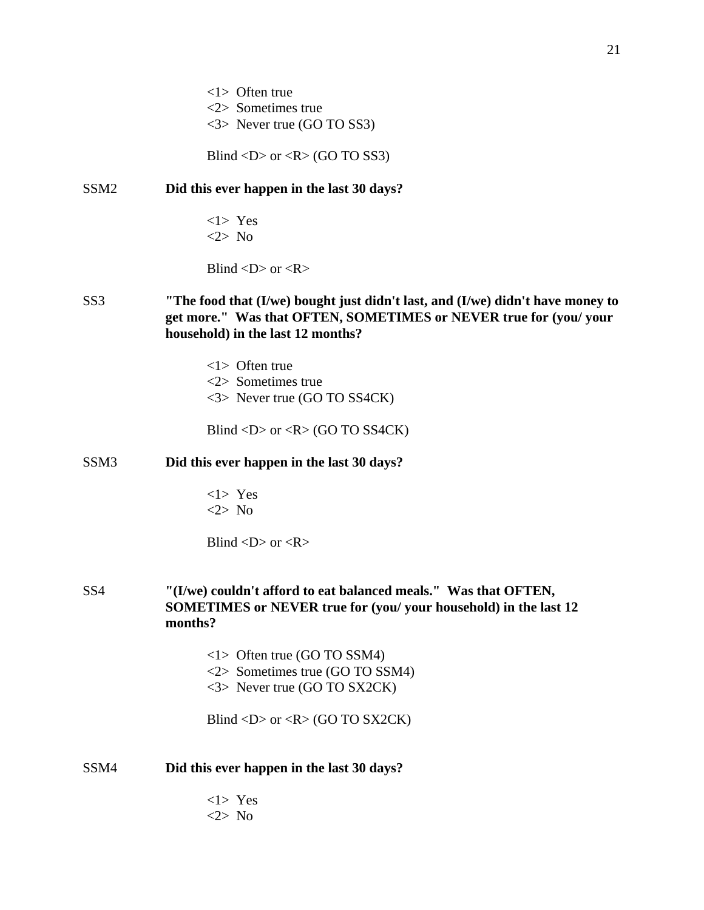<3> Never true (GO TO SS3)

Blind  $\langle D \rangle$  or  $\langle R \rangle$  (GO TO SS3)

### SSM2 **Did this ever happen in the last 30 days?**

 $<$ 1> Yes <2> No

Blind  $\langle D \rangle$  or  $\langle R \rangle$ 

- SS3 **"The food that (I/we) bought just didn't last, and (I/we) didn't have money to get more." Was that OFTEN, SOMETIMES or NEVER true for (you/ your household) in the last 12 months?** 
	- <1> Often true <2> Sometimes true <3> Never true (GO TO SS4CK)

Blind <D> or <R> (GO TO SS4CK)

## SSM3 **Did this ever happen in the last 30 days?**

 $<1>$  Yes <2> No

Blind  $\langle D \rangle$  or  $\langle R \rangle$ 

SS4 **"(I/we) couldn't afford to eat balanced meals." Was that OFTEN, SOMETIMES or NEVER true for (you/ your household) in the last 12 months?**

- <1> Often true (GO TO SSM4) <2> Sometimes true (GO TO SSM4)
- <3> Never true (GO TO SX2CK)

Blind <D> or < $R$ > (GO TO SX2CK)

### SSM4 **Did this ever happen in the last 30 days?**

 $<1>$  Yes <2> No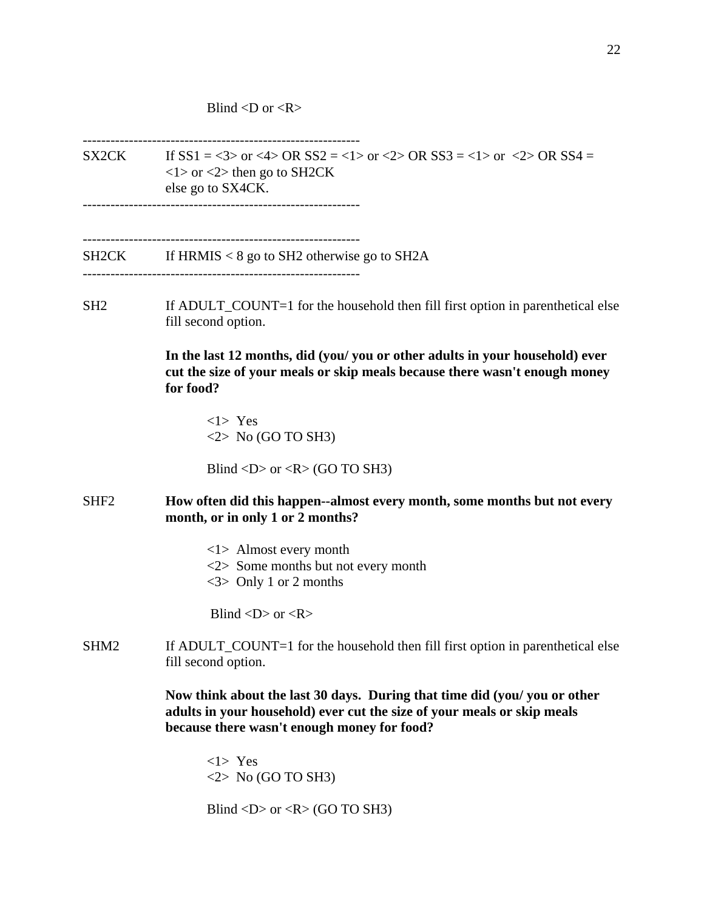Blind  $\langle D \text{ or } \langle R \rangle$ 

------------------------------------------------------------ SX2CK If  $SS1 = <3>$  or  $<4>$  OR  $SS2 = <1>$  or  $<2>$  OR  $SS3 = <1>$  or  $<2>$  OR  $SS4 =$  $\langle$ 1 > or  $\langle$ 2 > then go to SH2CK else go to SX4CK. ------------------------------------------------------------ ------------------------------------------------------------  $SH2CK$  If HRMIS < 8 go to SH2 otherwise go to SH2A ------------------------------------------------------------ SH2 If ADULT\_COUNT=1 for the household then fill first option in parenthetical else fill second option. **In the last 12 months, did (you/ you or other adults in your household) ever cut the size of your meals or skip meals because there wasn't enough money for food?** <1> Yes  $\langle 2 \rangle$  No (GO TO SH3) Blind  $\langle D \rangle$  or  $\langle R \rangle$  (GO TO SH3) SHF2 **How often did this happen--almost every month, some months but not every month, or in only 1 or 2 months?** <1> Almost every month <2> Some months but not every month <3> Only 1 or 2 months Blind  $\langle D \rangle$  or  $\langle R \rangle$ SHM2 If ADULT\_COUNT=1 for the household then fill first option in parenthetical else fill second option. **Now think about the last 30 days. During that time did (you/ you or other adults in your household) ever cut the size of your meals or skip meals because there wasn't enough money for food?** <1> Yes  $\langle 2 \rangle$  No (GO TO SH3)

Blind  $\langle D \rangle$  or  $\langle R \rangle$  (GO TO SH3)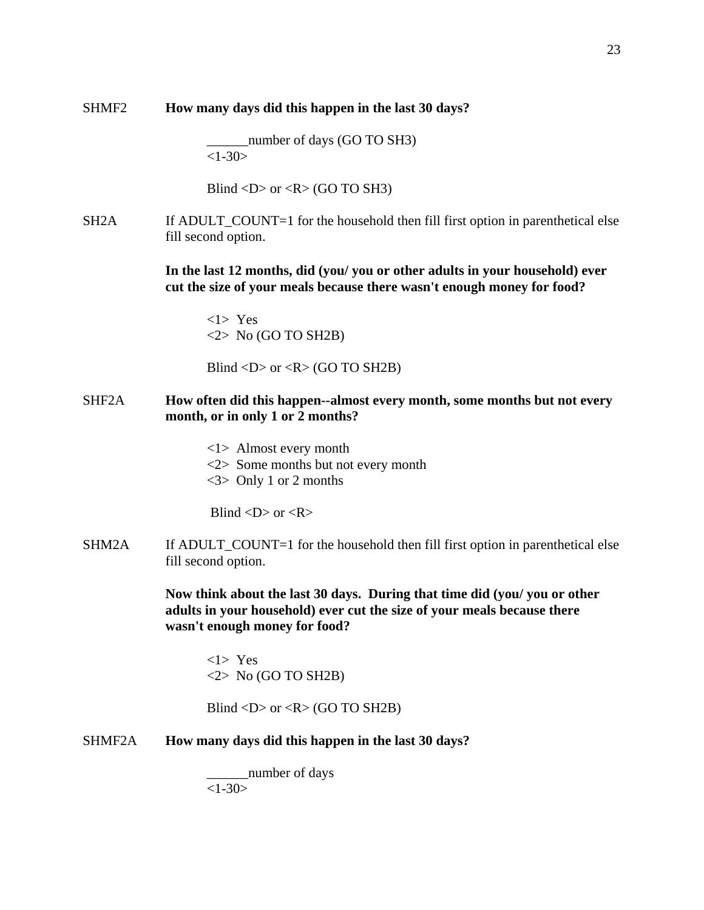number of days (GO TO SH3)  $<1-30>$ 

Blind <D> or < $R$ > (GO TO SH3)

SH2A If ADULT\_COUNT=1 for the household then fill first option in parenthetical else fill second option.

> **In the last 12 months, did (you/ you or other adults in your household) ever cut the size of your meals because there wasn't enough money for food?**

<1> Yes  $<$ 2> No (GO TO SH2B)

Blind  $\langle D \rangle$  or  $\langle R \rangle$  (GO TO SH2B)

## SHF2A **How often did this happen--almost every month, some months but not every month, or in only 1 or 2 months?**

- <1> Almost every month
- <2> Some months but not every month
- <3> Only 1 or 2 months

Blind  $\langle D \rangle$  or  $\langle R \rangle$ 

SHM2A If ADULT\_COUNT=1 for the household then fill first option in parenthetical else fill second option.

> **Now think about the last 30 days. During that time did (you/ you or other adults in your household) ever cut the size of your meals because there wasn't enough money for food?**

<1> Yes  $<$ 2> No (GO TO SH2B)

Blind  $\langle D \rangle$  or  $\langle R \rangle$  (GO TO SH2B)

#### SHMF2A **How many days did this happen in the last 30 days?**

number of days  $<1-30>$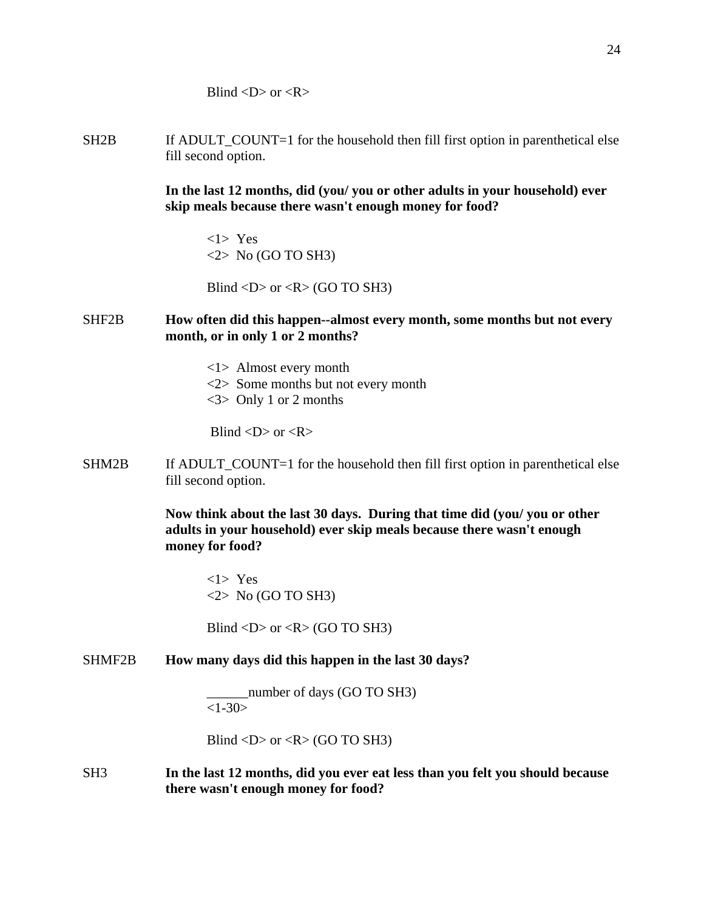Blind  $\langle D \rangle$  or  $\langle R \rangle$ 

SH2B If ADULT COUNT=1 for the household then fill first option in parenthetical else fill second option.

> **In the last 12 months, did (you/ you or other adults in your household) ever skip meals because there wasn't enough money for food?**

<1> Yes  $\langle 2 \rangle$  No (GO TO SH3)

Blind  $\langle D \rangle$  or  $\langle R \rangle$  (GO TO SH3)

## SHF2B **How often did this happen--almost every month, some months but not every month, or in only 1 or 2 months?**

<1> Almost every month <2> Some months but not every month  $\langle 3 \rangle$  Only 1 or 2 months

Blind  $\langle D \rangle$  or  $\langle R \rangle$ 

SHM2B If ADULT\_COUNT=1 for the household then fill first option in parenthetical else fill second option.

> **Now think about the last 30 days. During that time did (you/ you or other adults in your household) ever skip meals because there wasn't enough money for food?**

<1> Yes  $\langle 2 \rangle$  No (GO TO SH3)

Blind  $\langle D \rangle$  or  $\langle R \rangle$  (GO TO SH3)

SHMF2B **How many days did this happen in the last 30 days?** 

\_\_\_\_\_\_number of days (GO TO SH3)  $<1 - 30$ 

Blind  $\langle D \rangle$  or  $\langle R \rangle$  (GO TO SH3)

SH3 **In the last 12 months, did you ever eat less than you felt you should because there wasn't enough money for food?**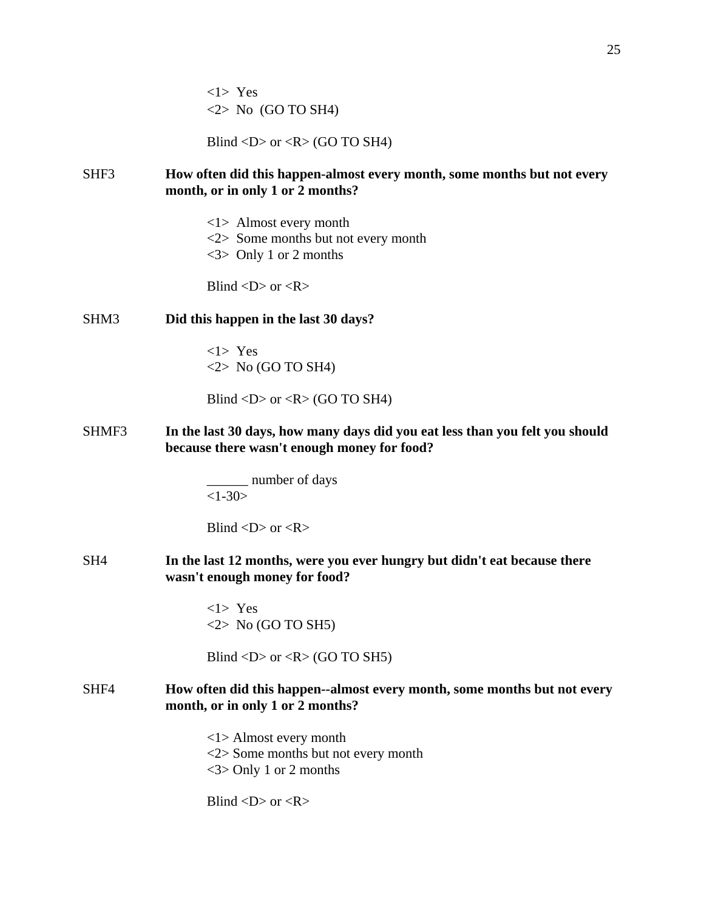<1> Yes  $\langle 2 \rangle$  No (GO TO SH4)

Blind  $\langle D \rangle$  or  $\langle R \rangle$  (GO TO SH4)

## SHF3 **How often did this happen-almost every month, some months but not every month, or in only 1 or 2 months?**

- <1> Almost every month
- <2> Some months but not every month
- $\langle 3 \rangle$  Only 1 or 2 months

Blind  $\langle D \rangle$  or  $\langle R \rangle$ 

### SHM3 **Did this happen in the last 30 days?**

<1> Yes  $\langle 2 \rangle$  No (GO TO SH4)

Blind  $\langle D \rangle$  or  $\langle R \rangle$  (GO TO SH4)

SHMF3 **In the last 30 days, how many days did you eat less than you felt you should because there wasn't enough money for food?**

> \_\_\_\_\_\_ number of days  $<1-30>$

Blind  $\langle D \rangle$  or  $\langle R \rangle$ 

SH4 **In the last 12 months, were you ever hungry but didn't eat because there wasn't enough money for food?**

> <1> Yes  $\langle 2 \rangle$  No (GO TO SH5)

Blind <D> or < $R$ > (GO TO SH5)

### SHF4 **How often did this happen--almost every month, some months but not every month, or in only 1 or 2 months?**

<1> Almost every month <2> Some months but not every month <3> Only 1 or 2 months

Blind  $\langle D \rangle$  or  $\langle R \rangle$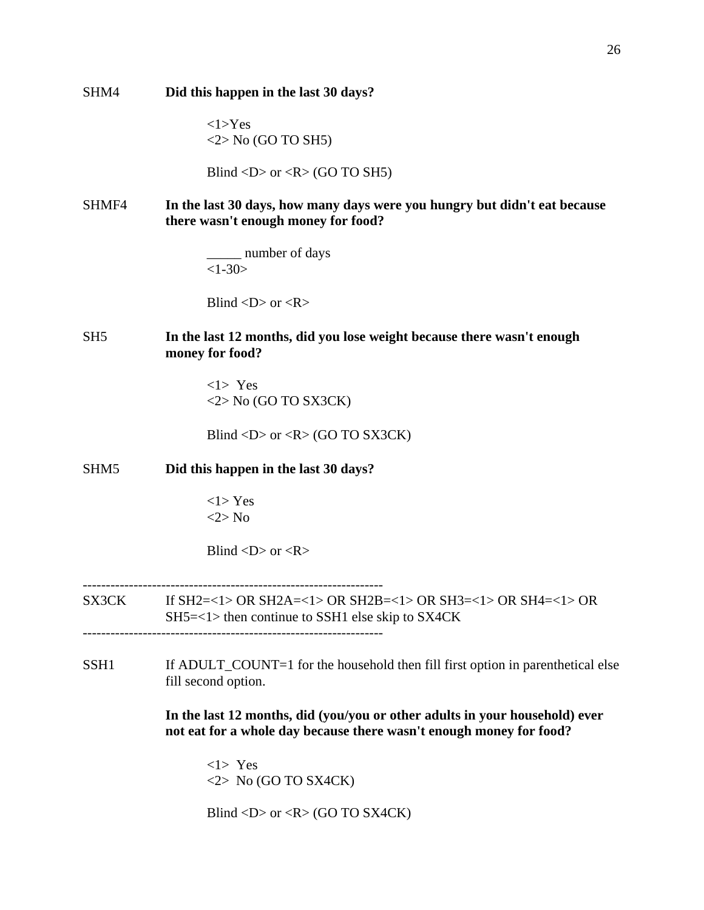| SHM4             | Did this happen in the last 30 days?                                                                                                               |
|------------------|----------------------------------------------------------------------------------------------------------------------------------------------------|
|                  | $<1>Y$ es<br>$\langle 2 \rangle$ No (GO TO SH5)                                                                                                    |
|                  | Blind <d> or <r> <math>(R &gt; GO</math> TO SH5)</r></d>                                                                                           |
| SHMF4            | In the last 30 days, how many days were you hungry but didn't eat because<br>there wasn't enough money for food?                                   |
|                  | ___ number of days<br>$<1-30>$                                                                                                                     |
|                  | Blind $\langle D \rangle$ or $\langle R \rangle$                                                                                                   |
| SH <sub>5</sub>  | In the last 12 months, did you lose weight because there wasn't enough<br>money for food?                                                          |
|                  | $<1>$ Yes<br>$\langle 2 \rangle$ No (GO TO SX3CK)                                                                                                  |
|                  | Blind <d> or <r> <math>(R &gt; GO</math> TO SX3CK)</r></d>                                                                                         |
| SHM <sub>5</sub> | Did this happen in the last 30 days?                                                                                                               |
|                  | $<1>$ Yes<br>$<2>$ No                                                                                                                              |
|                  | Blind $\langle D \rangle$ or $\langle R \rangle$                                                                                                   |
| SX3CK            | If SH2=<1> OR SH2A=<1> OR SH2B=<1> OR SH3=<1> OR SH4=<1> OR<br>$SH5=<1>$ then continue to SSH1 else skip to SX4CK                                  |
| SSH <sub>1</sub> | If ADULT_COUNT=1 for the household then fill first option in parenthetical else<br>fill second option.                                             |
|                  | In the last 12 months, did (you/you or other adults in your household) ever<br>not eat for a whole day because there wasn't enough money for food? |
|                  | $<1>$ Yes<br>$\langle 2 \rangle$ No (GO TO SX4CK)                                                                                                  |
|                  | Blind <d> or <r> <math>(R &gt; GO</math> TO SX4CK)</r></d>                                                                                         |

26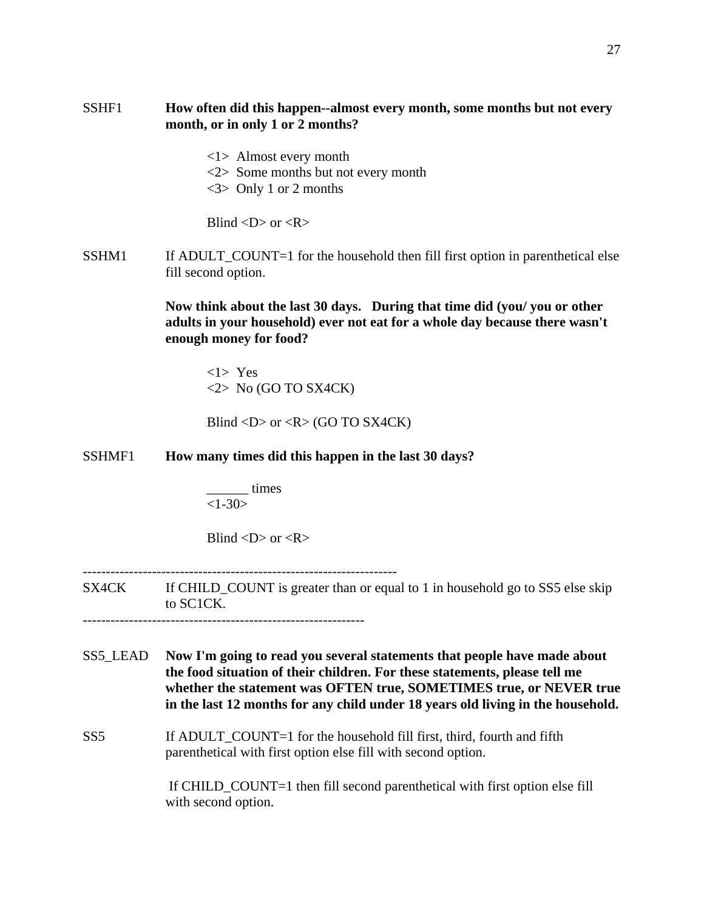# SSHF1 **How often did this happen--almost every month, some months but not every month, or in only 1 or 2 months?**

<1> Almost every month <2> Some months but not every month <3> Only 1 or 2 months

Blind  $\langle D \rangle$  or  $\langle R \rangle$ 

SSHM1 If ADULT\_COUNT=1 for the household then fill first option in parenthetical else fill second option.

> **Now think about the last 30 days. During that time did (you/ you or other adults in your household) ever not eat for a whole day because there wasn't enough money for food?**

<1> Yes  $\langle 2 \rangle$  No (GO TO SX4CK)

Blind  $\langle D \rangle$  or  $\langle R \rangle$  (GO TO SX4CK)

SSHMF1 **How many times did this happen in the last 30 days?**

\_\_\_\_\_\_ times  $<1-30>$ 

Blind  $\langle D \rangle$  or  $\langle R \rangle$ 

--------------------------------------------------------------------

SX4CK If CHILD\_COUNT is greater than or equal to 1 in household go to SS5 else skip to SC1CK.

-------------------------------------------------------------

- SS5\_LEAD **Now I'm going to read you several statements that people have made about the food situation of their children. For these statements, please tell me whether the statement was OFTEN true, SOMETIMES true, or NEVER true in the last 12 months for any child under 18 years old living in the household.**
- SS5 If ADULT\_COUNT=1 for the household fill first, third, fourth and fifth parenthetical with first option else fill with second option.

 If CHILD\_COUNT=1 then fill second parenthetical with first option else fill with second option.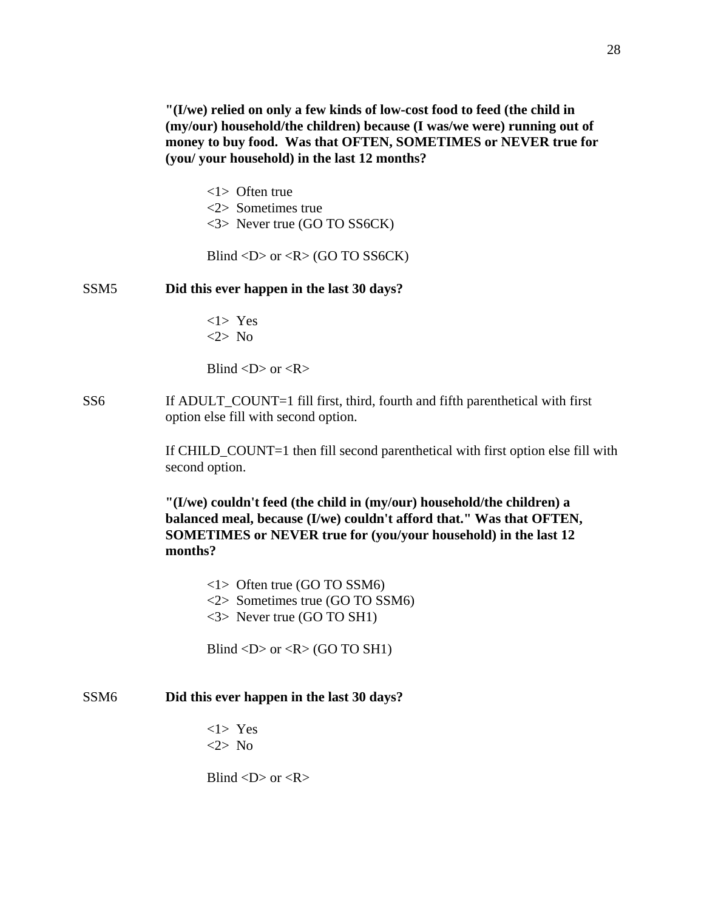**"(I/we) relied on only a few kinds of low-cost food to feed (the child in (my/our) household/the children) because (I was/we were) running out of money to buy food. Was that OFTEN, SOMETIMES or NEVER true for (you/ your household) in the last 12 months?** 

<1> Often true <2> Sometimes true <3> Never true (GO TO SS6CK)

Blind <D> or <R> (GO TO SS6CK)

#### SSM5 **Did this ever happen in the last 30 days?**

 $<$ 1> Yes <2> No

Blind  $\langle D \rangle$  or  $\langle R \rangle$ 

SS6 If ADULT\_COUNT=1 fill first, third, fourth and fifth parenthetical with first option else fill with second option.

> If CHILD\_COUNT=1 then fill second parenthetical with first option else fill with second option.

**"(I/we) couldn't feed (the child in (my/our) household/the children) a balanced meal, because (I/we) couldn't afford that." Was that OFTEN, SOMETIMES or NEVER true for (you/your household) in the last 12 months?**

<1> Often true (GO TO SSM6) <2> Sometimes true (GO TO SSM6) <3> Never true (GO TO SH1)

Blind  $\langle D \rangle$  or  $\langle R \rangle$  (GO TO SH1)

#### SSM6 **Did this ever happen in the last 30 days?**

 $<1>$  Yes <2> No

Blind  $\langle D \rangle$  or  $\langle R \rangle$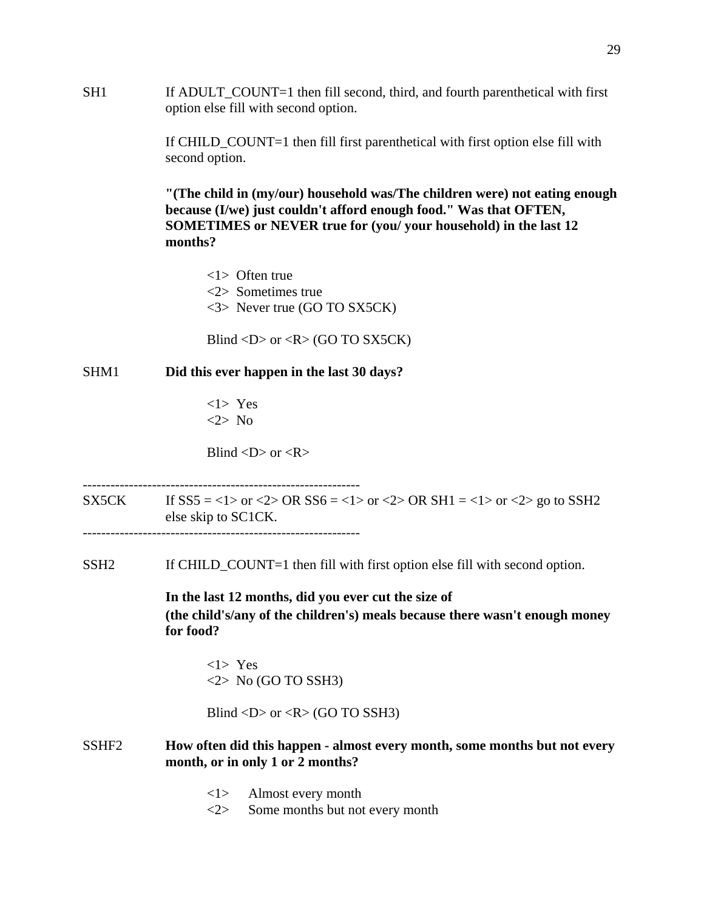SH1 If ADULT\_COUNT=1 then fill second, third, and fourth parenthetical with first option else fill with second option.

> If CHILD\_COUNT=1 then fill first parenthetical with first option else fill with second option.

**"(The child in (my/our) household was/The children were) not eating enough because (I/we) just couldn't afford enough food." Was that OFTEN, SOMETIMES or NEVER true for (you/ your household) in the last 12 months?**

<1> Often true <2> Sometimes true <3> Never true (GO TO SX5CK)

Blind <D> or < $R$ > (GO TO SX5CK)

#### SHM1 **Did this ever happen in the last 30 days?**

 <1> Yes <2> No

Blind  $\langle D \rangle$  or  $\langle R \rangle$ 

SX5CK If  $SS5 = <1>$  or  $<2>$  OR  $SS6 = <1>$  or  $<2>$  OR  $SH1 = <1>$  or  $<2>$  go to SSH2 else skip to SC1CK.

------------------------------------------------------------

SSH2 If CHILD\_COUNT=1 then fill with first option else fill with second option.

**In the last 12 months, did you ever cut the size of (the child's/any of the children's) meals because there wasn't enough money for food?** 

<1> Yes  $\langle 2 \rangle$  No (GO TO SSH3)

Blind  $\langle D \rangle$  or  $\langle R \rangle$  (GO TO SSH3)

### SSHF2 **How often did this happen - almost every month, some months but not every month, or in only 1 or 2 months?**

- <1> Almost every month
- <2> Some months but not every month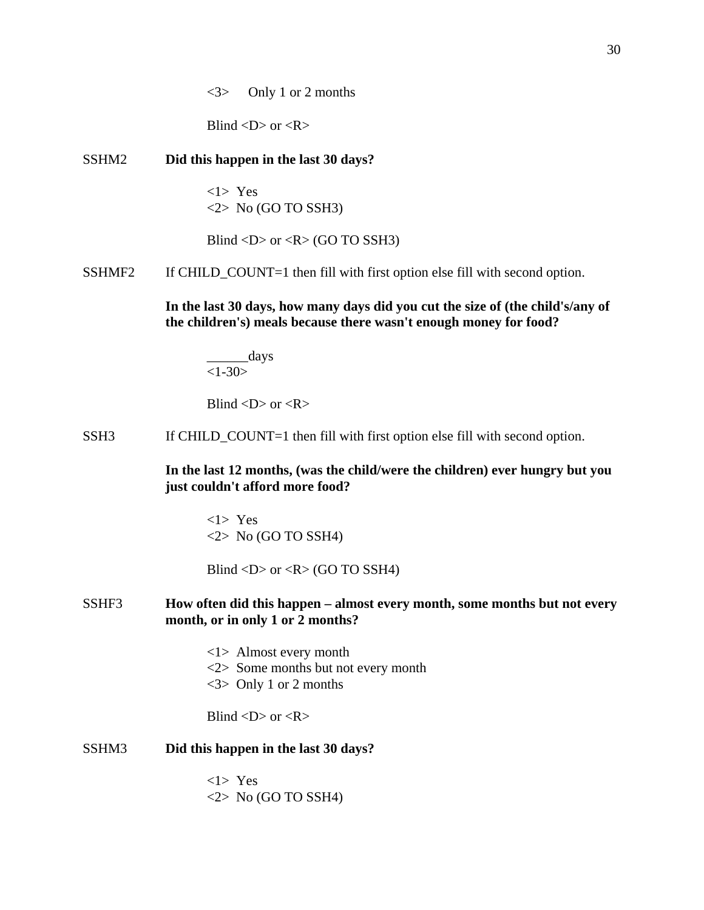<3> Only 1 or 2 months

Blind  $\langle D \rangle$  or  $\langle R \rangle$ 

## SSHM2 **Did this happen in the last 30 days?**

<1> Yes  $\langle 2 \rangle$  No (GO TO SSH3)

Blind  $\langle D \rangle$  or  $\langle R \rangle$  (GO TO SSH3)

SSHMF2 If CHILD COUNT=1 then fill with first option else fill with second option.

**In the last 30 days, how many days did you cut the size of (the child's/any of the children's) meals because there wasn't enough money for food?**

\_\_\_\_\_\_days  $<1-30>$ 

Blind  $\langle D \rangle$  or  $\langle R \rangle$ 

SSH3 If CHILD\_COUNT=1 then fill with first option else fill with second option.

**In the last 12 months, (was the child/were the children) ever hungry but you just couldn't afford more food?**

<1> Yes  $\langle 2 \rangle$  No (GO TO SSH4)

Blind  $\langle D \rangle$  or  $\langle R \rangle$  (GO TO SSH4)

### SSHF3 **How often did this happen – almost every month, some months but not every month, or in only 1 or 2 months?**

<1> Almost every month <2> Some months but not every month <3> Only 1 or 2 months

Blind  $\langle D \rangle$  or  $\langle R \rangle$ 

#### SSHM3 **Did this happen in the last 30 days?**

<1> Yes  $\langle 2 \rangle$  No (GO TO SSH4)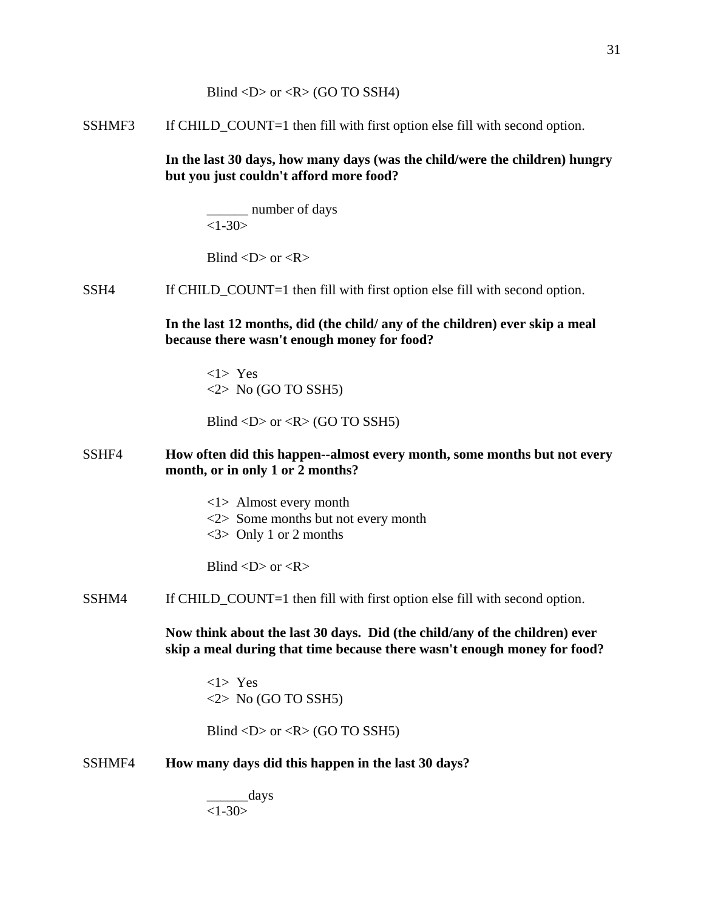SSHMF3 If CHILD\_COUNT=1 then fill with first option else fill with second option.

**In the last 30 days, how many days (was the child/were the children) hungry but you just couldn't afford more food?** 

\_\_\_\_\_\_ number of days  $<1-30>$ 

Blind  $\langle D \rangle$  or  $\langle R \rangle$ 

#### SSH4 If CHILD\_COUNT=1 then fill with first option else fill with second option.

**In the last 12 months, did (the child/ any of the children) ever skip a meal because there wasn't enough money for food?**

<1> Yes  $\langle 2 \rangle$  No (GO TO SSH5)

Blind  $\langle D \rangle$  or  $\langle R \rangle$  (GO TO SSH5)

## SSHF4 **How often did this happen--almost every month, some months but not every month, or in only 1 or 2 months?**

- <1> Almost every month
- <2> Some months but not every month
- $\langle 3 \rangle$  Only 1 or 2 months

Blind  $\langle D \rangle$  or  $\langle R \rangle$ 

SSHM4 If CHILD\_COUNT=1 then fill with first option else fill with second option.

**Now think about the last 30 days. Did (the child/any of the children) ever skip a meal during that time because there wasn't enough money for food?**

<1> Yes  $\langle 2 \rangle$  No (GO TO SSH5)

Blind  $\langle D \rangle$  or  $\langle R \rangle$  (GO TO SSH5)

#### SSHMF4 **How many days did this happen in the last 30 days?**

 $\_\_$ days  $<1-30>$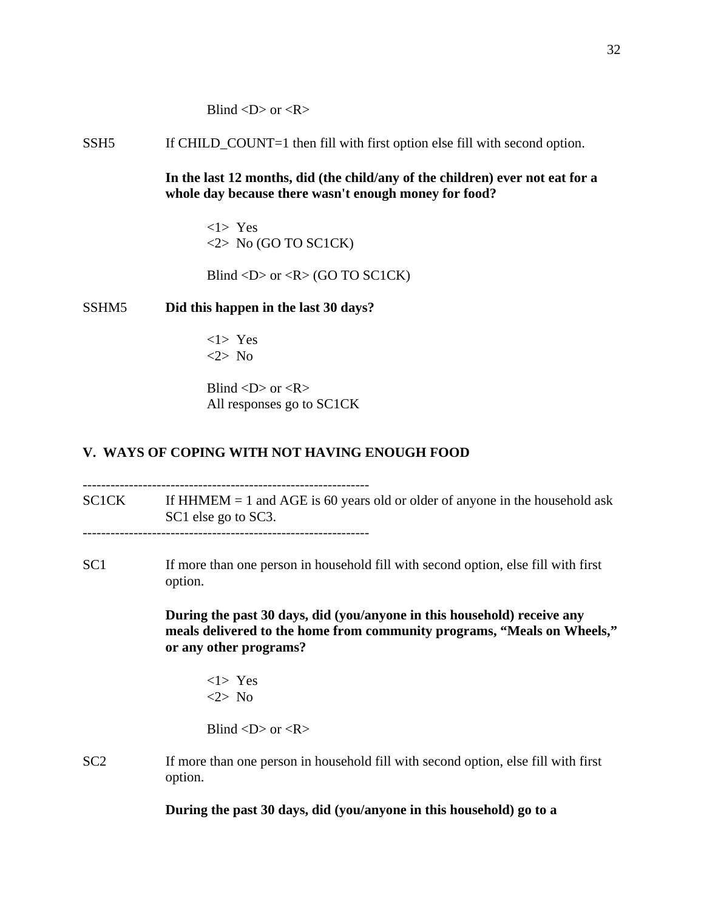Blind  $\langle D \rangle$  or  $\langle R \rangle$ 

SSH5 If CHILD\_COUNT=1 then fill with first option else fill with second option.

**In the last 12 months, did (the child/any of the children) ever not eat for a whole day because there wasn't enough money for food?** 

<1> Yes  $\langle 2 \rangle$  No (GO TO SC1CK)

Blind  $\langle D \rangle$  or  $\langle R \rangle$  (GO TO SC1CK)

#### SSHM5 **Did this happen in the last 30 days?**

<1> Yes <2> No

Blind  $\langle D \rangle$  or  $\langle R \rangle$ All responses go to SC1CK

#### **V. WAYS OF COPING WITH NOT HAVING ENOUGH FOOD**

 $SC1CK$  If HHMEM = 1 and AGE is 60 years old or older of anyone in the household ask SC1 else go to SC3.

--------------------------------------------------------------

SC1 If more than one person in household fill with second option, else fill with first option.

> **During the past 30 days, did (you/anyone in this household) receive any meals delivered to the home from community programs, "Meals on Wheels," or any other programs?**

 $<$ 1> Yes <2> No

Blind  $\langle D \rangle$  or  $\langle R \rangle$ 

SC2 If more than one person in household fill with second option, else fill with first option.

**During the past 30 days, did (you/anyone in this household) go to a**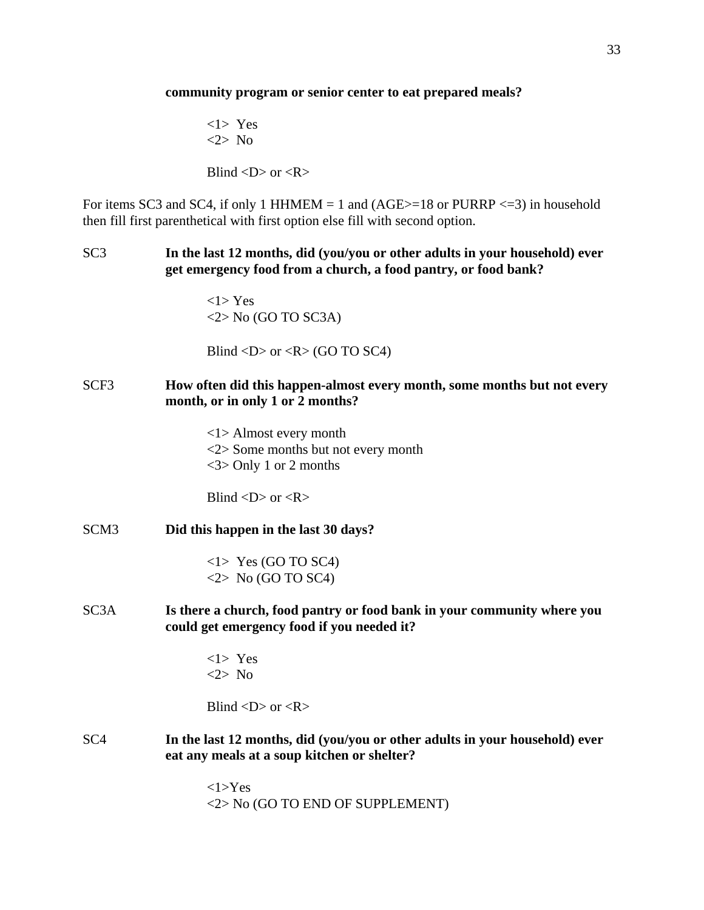#### **community program or senior center to eat prepared meals?**

 $<$ 1> Yes <2> No

Blind  $\langle D \rangle$  or  $\langle R \rangle$ 

For items SC3 and SC4, if only 1 HHMEM  $= 1$  and (AGE $> = 18$  or PURRP  $\lt = 3$ ) in household then fill first parenthetical with first option else fill with second option.

SC3 **In the last 12 months, did (you/you or other adults in your household) ever get emergency food from a church, a food pantry, or food bank?**

> $<1$ > Yes  $\langle 2 \rangle$  No (GO TO SC3A)

Blind  $\langle D \rangle$  or  $\langle R \rangle$  (GO TO SC4)

## SCF3 **How often did this happen-almost every month, some months but not every month, or in only 1 or 2 months?**

<1> Almost every month <2> Some months but not every month <3> Only 1 or 2 months

Blind  $\langle D \rangle$  or  $\langle R \rangle$ 

SCM3 **Did this happen in the last 30 days?** 

<1> Yes (GO TO SC4)  $\langle 2 \rangle$  No (GO TO SC4)

SC3A **Is there a church, food pantry or food bank in your community where you could get emergency food if you needed it?** 

> $<1>$  Yes <2> No

Blind  $\langle D \rangle$  or  $\langle R \rangle$ 

SC4 **In the last 12 months, did (you/you or other adults in your household) ever eat any meals at a soup kitchen or shelter?**

> <1>Yes <2> No (GO TO END OF SUPPLEMENT)